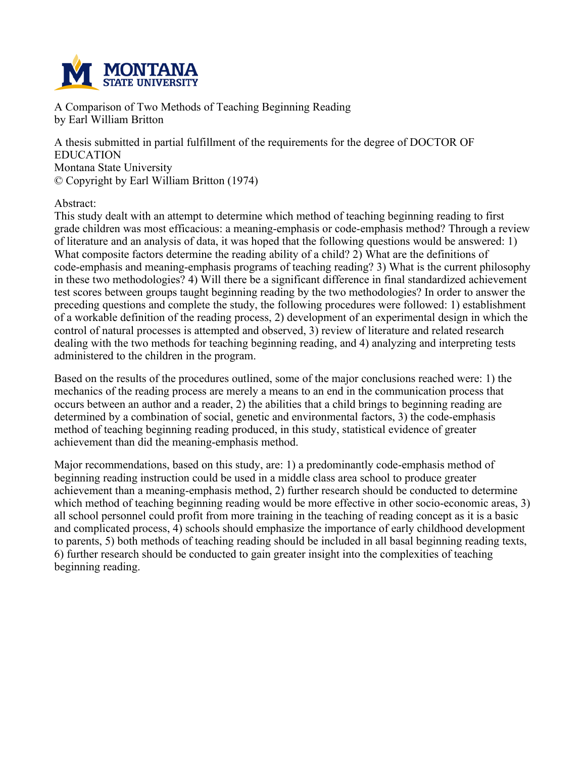

**A Comparison of Two Methods of Teaching Beginning Reading by Earl William Britton**

**A thesis submitted in partial fulfillment of the requirements for the degree of DOCTOR OF EDUCATION Montana State University © Copyright by Earl William Britton (1974)**

**Abstract:**

**This study dealt with an attempt to determine which method of teaching beginning reading to first grade children was most efficacious: a meaning-emphasis or code-emphasis method? Through a review** of literature and an analysis of data, it was hoped that the following questions would be answered: 1) **What composite factors determine the reading ability of a child? 2) What are the definitions of code-emphasis and meaning-emphasis programs of teaching reading? 3) What is the current philosophy in these two methodologies? 4) Will there be a significant difference in final standardized achievement test scores between groups taught beginning reading by the two methodologies? In order to answer the preceding questions and complete the study, the following procedures were followed: 1) establishment of a workable definition of the reading process, 2) development of an experimental design in which the control of natural processes is attempted and observed, 3) review of literature and related research dealing with the two methods for teaching beginning reading, and 4) analyzing and interpreting tests administered to the children in the program.**

**Based on the results of the procedures outlined, some of the major conclusions reached were: 1) the mechanics of the reading process are merely a means to an end in the communication process that** occurs between an author and a reader, 2) the abilities that a child brings to beginning reading are **determined by a combination of social, genetic and environmental factors, 3) the code-emphasis method of teaching beginning reading produced, in this study, statistical evidence of greater achievement than did the meaning-emphasis method.**

**Major recommendations, based on this study, are: 1) a predominantly code-emphasis method of beginning reading instruction could be used in a middle class area school to produce greater achievement than a meaning-emphasis method, 2) further research should be conducted to determine which method of teaching beginning reading would be more effective in other socio-economic areas, 3)** all school personnel could profit from more training in the teaching of reading concept as it is a basic **and complicated process, 4) schools should emphasize the importance of early childhood development to parents, 5) both methods of teaching reading should be included in all basal beginning reading texts, 6) further research should be conducted to gain greater insight into the complexities of teaching beginning reading.**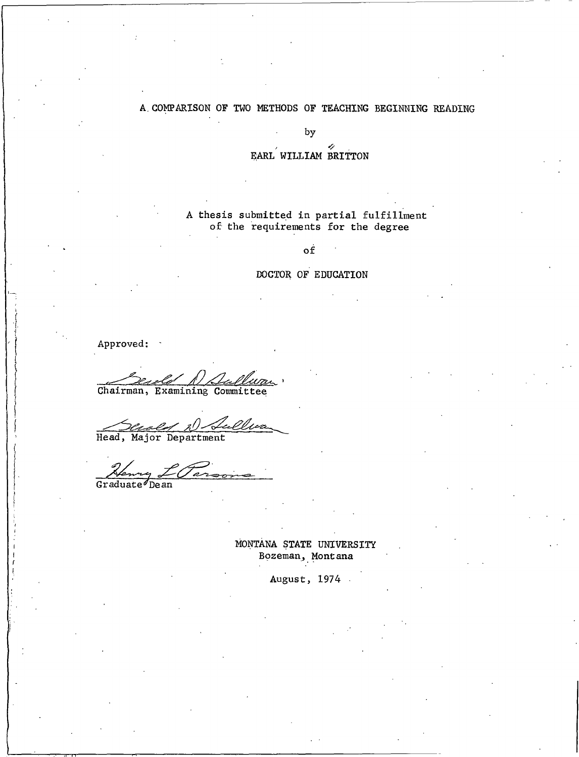### A COMPARISON OF TWO METHODS OF TEACHING BEGINNING READING

by

EARL WILLIAM BRITTON

A thesis submitted in partial fulfillment of the requirements for the degree

 $\circ f$ 

### DOCTOR OF EDUCATION

Approved:

<u>Um</u> Chairman, Examining Committee

Head, Major Department

my L Parso Graduate Dean

MONTANA STATE UNIVERSITY Bozeman, Montana

August, 1974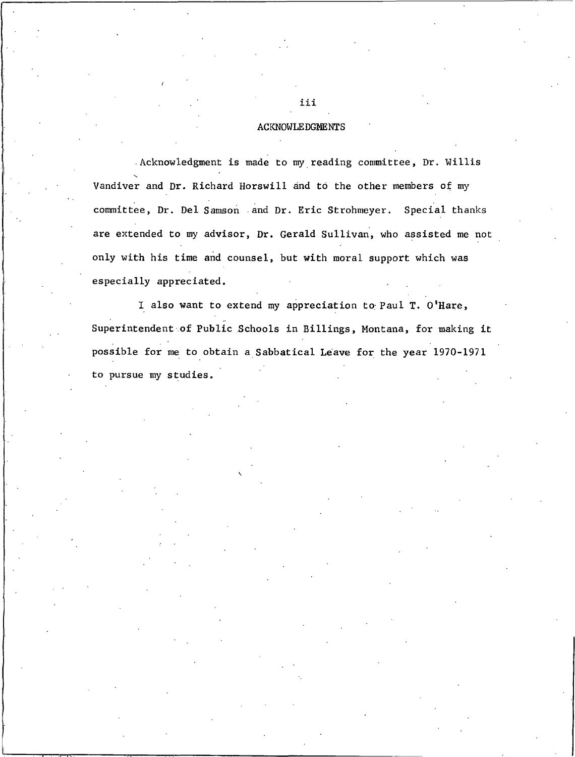#### **ACKNOWLEDGMENTS**

Acknowledgment is made to my reading committee, Dr. Willis Vandiver and Dr. Richard Horswill and to the other members of my committee, Dr. Del Samson and Dr. Eric Strohmeyer. Special thanks are extended to my advisor, Dr. Gerald Sullivan, who assisted me not only with his time and counsel, but with moral support which was especially appreciated.

I also want to extend my appreciation to Paul T. O'Hare, Superintendent of Public Schools in Billings, Montana, for making it possible for me to obtain a Sabbatical Leave for the year 1970-1971 to pursue my studies.

iii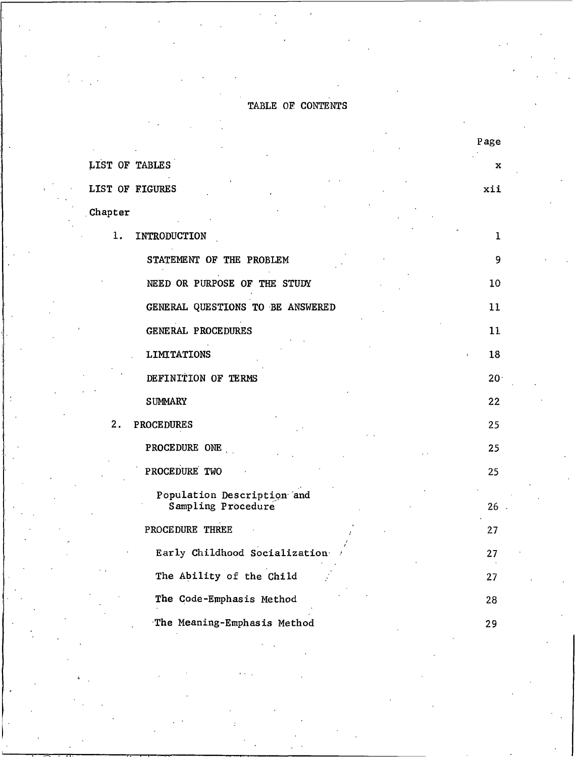## TABLE OF CONTENTS

|                                  | rage            |
|----------------------------------|-----------------|
| LIST OF TABLES                   | x               |
| LIST OF FIGURES                  | xii             |
| Chapter                          |                 |
| 1.<br>INTRODUCTION               | 1               |
| STATEMENT OF THE PROBLEM         | 9               |
| NEED OR PURPOSE OF THE STUDY     | 10              |
| GENERAL QUESTIONS TO BE ANSWERED | 11              |
| GENERAL PROCEDURES               | 11              |
| <b>LIMITATIONS</b>               | 18              |
| DEFINITION OF TERMS              | 20 <sup>1</sup> |
| <b>SUMMARY</b>                   | 22              |
| 2.<br><b>PROCEDURES</b>          | 25              |
| PROCEDURE ONE                    | 25              |
| PROCEDURE TWO                    | 25              |
| Population Description and       | 26              |
| Sampling Procedure               |                 |
| PROCEDURE THREE                  | 27              |
| Early Childhood Socialization    | 27              |
| The Ability of the Child         | 27              |
| The Code-Emphasis Method         | 28              |
| The Meaning-Emphasis Method      | 29              |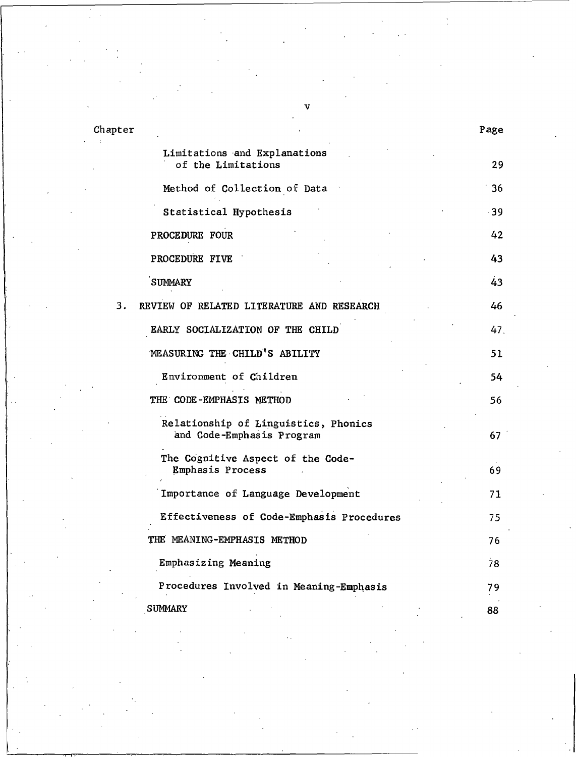| Chapter                                                           | Page  |
|-------------------------------------------------------------------|-------|
| Limitations and Explanations<br>of the Limitations                | 29    |
| Method of Collection of Data                                      | 36    |
| Statistical Hypothesis                                            | $-39$ |
| PROCEDURE FOUR                                                    | 42    |
| PROCEDURE FIVE                                                    | 43    |
| <b>SUMMARY</b>                                                    | 43    |
| 3.<br>REVIEW OF RELATED LITERATURE AND RESEARCH                   | 46    |
| EARLY SOCIALIZATION OF THE CHILD                                  | 47.   |
| MEASURING THE CHILD'S ABILITY                                     | 51    |
| Environment of Children                                           | 54    |
| THE CODE-EMPHASIS METHOD                                          | 56    |
| Relationship of Linguistics, Phonics<br>and Code-Emphasis Program | 67    |
| The Cognitive Aspect of the Code-<br>Emphasis Process             | 69    |
| Importance of Language Development                                | 71    |
| Effectiveness of Code-Emphasis Procedures                         | 75    |
| THE MEANING-EMPHASIS METHOD                                       | 76    |
| Emphasizing Meaning                                               | 78    |
| Procedures Involved in Meaning-Emphasis                           | 79    |
| <b>SUMMARY</b>                                                    | 88    |

v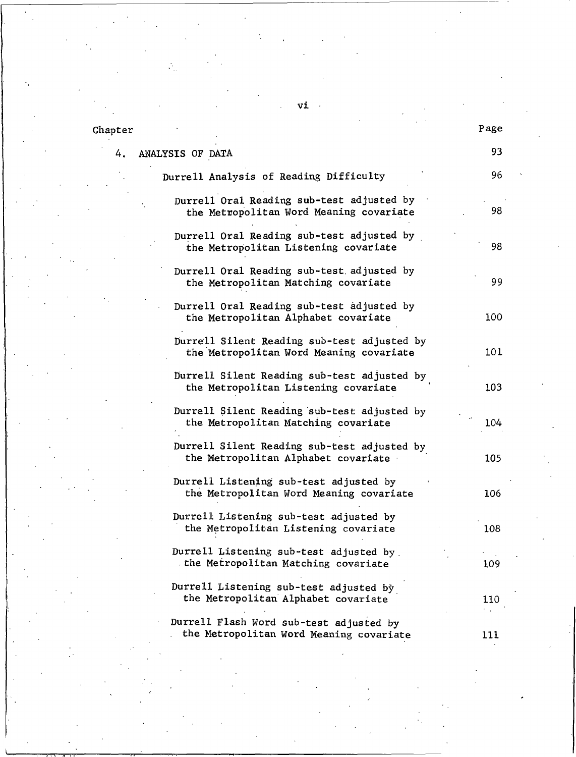## Chapter

4.

| ANALYSIS OF DATA                                                                       | 93  |
|----------------------------------------------------------------------------------------|-----|
| Durrell Analysis of Reading Difficulty                                                 | 96  |
| Durrell Oral Reading sub-test adjusted by<br>the Metropolitan Word Meaning covariate   | 98  |
| Durrell Oral Reading sub-test adjusted by<br>the Metropolitan Listening covariate      | 98  |
| Durrell Oral Reading sub-test adjusted by<br>the Metropolitan Matching covariate       | 99  |
| Durrell Oral Reading sub-test adjusted by<br>the Metropolitan Alphabet covariate       | 100 |
| Durrell Silent Reading sub-test adjusted by<br>the Metropolitan Word Meaning covariate | 101 |
| Durrell Silent Reading sub-test adjusted by<br>the Metropolitan Listening covariate    | 103 |
| Durrell Silent Reading sub-test adjusted by<br>the Metropolitan Matching covariate     | 104 |
| Durrell Silent Reading sub-test adjusted by<br>the Metropolitan Alphabet covariate     | 105 |
| Durrell Listening sub-test adjusted by<br>the Metropolitan Word Meaning covariate      | 106 |
| Durrell Listening sub-test adjusted by<br>the Metropolitan Listening covariate         | 108 |
| Durrell Listening sub-test adjusted by<br>the Metropolitan Matching covariate          | 109 |
| Durrell Listening sub-test adjusted by<br>the Metropolitan Alphabet covariate          | 110 |
| Durrell Flash Word sub-test adjusted by<br>the Metropolitan Word Meaning covariate     | 111 |

 $vi$ .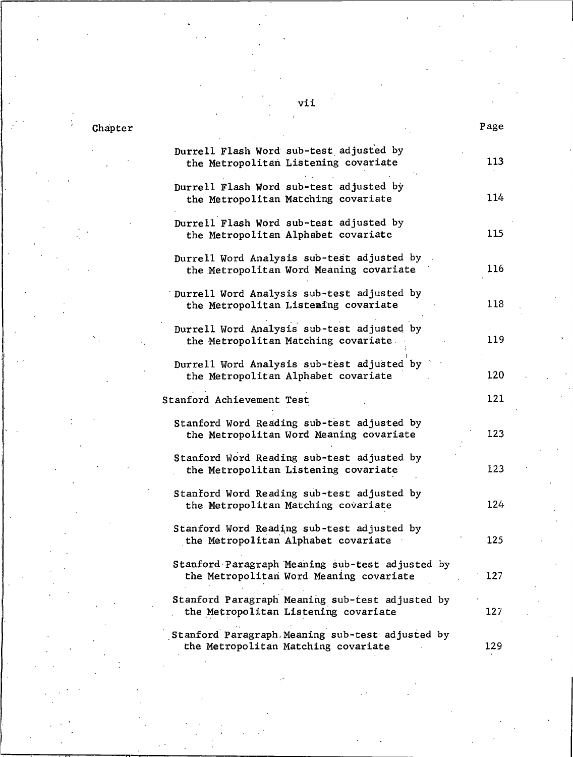# Chapter

| Durrell Flash Word sub-test adjusted by<br>the Metropolitan Listening covariate            | 113 |
|--------------------------------------------------------------------------------------------|-----|
| Durrell Flash Word sub-test adjusted by<br>the Metropolitan Matching covariate             | 114 |
| Durrell Flash Word sub-test adjusted by<br>the Metropolitan Alphabet covariate             | 115 |
| Durrell Word Analysis sub-test adjusted by<br>the Metropolitan Word Meaning covariate      | 116 |
| Durrell Word Analysis sub-test adjusted by<br>the Metropolitan Listeming covariate         | 118 |
| Durrell Word Analysis sub-test adjusted by<br>the Metropolitan Matching covariate.         | 119 |
| Durrell Word Analysis sub-test adjusted by<br>the Metropolitan Alphabet covariate          | 120 |
| Stanford Achievement Test                                                                  | 121 |
| Stanford Word Reading sub-test adjusted by<br>the Metropolitan Word Meaning covariate      | 123 |
| Stanford Word Reading sub-test adjusted by<br>the Metropolitan Listening covariate         | 123 |
| Stanford Word Reading sub-test adjusted by<br>the Metropolitan Matching covariate          | 124 |
| Stanford Word Reading sub-test adjusted by<br>the Metropolitan Alphabet covariate          | 125 |
| Stanford Paragraph Meaning sub-test adjusted by<br>the Metropolitan Word Meaning covariate | 127 |
| Stanford Paragraph Meaning sub-test adjusted by<br>the Metropolitan Listening covariate    | 127 |
| Stanford Paragraph Meaning sub-test adjusted by<br>the Metropolitan Matching covariate     | 129 |

vii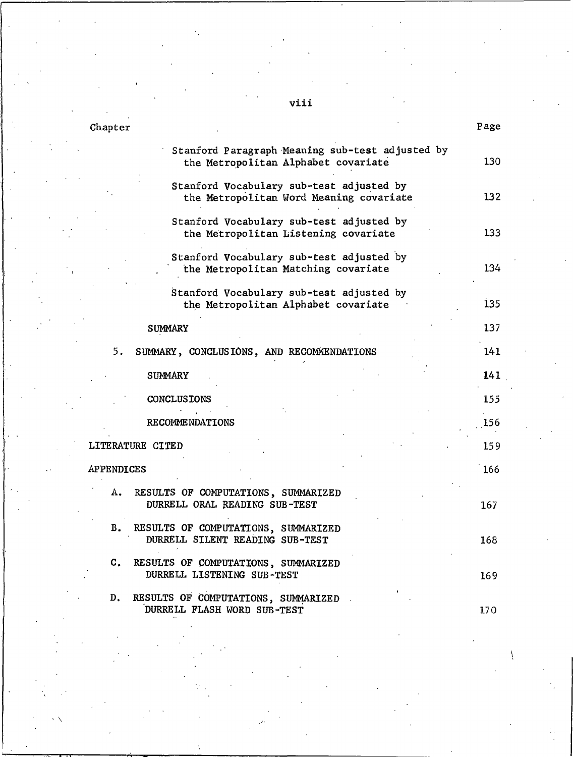| Chapter           |                                                                                        | Page |
|-------------------|----------------------------------------------------------------------------------------|------|
|                   | Stanford Paragraph Meaning sub-test adjusted by<br>the Metropolitan Alphabet covariate | 130  |
|                   | Stanford Vocabulary sub-test adjusted by<br>the Metropolitan Word Meaning covariate    | 132  |
|                   | Stanford Vocabulary sub-test adjusted by<br>the Metropolitan Listening covariate       | 133  |
|                   | Stanford Vocabulary sub-test adjusted by<br>the Metropolitan Matching covariate        | 134  |
|                   | Stanford Vocabulary sub-test adjusted by<br>the Metropolitan Alphabet covariate        | 135  |
|                   | <b>SUMMARY</b>                                                                         | 137  |
| 5.                | SUMMARY, CONCLUSIONS, AND RECOMMENDATIONS                                              | 141  |
|                   | <b>SUMMARY</b>                                                                         | 141  |
|                   | <b>CONCLUSIONS</b>                                                                     | 155  |
|                   | <b>RECOMMENDATIONS</b>                                                                 | 156  |
|                   | LITERATURE CITED                                                                       | 159  |
| <b>APPENDICES</b> |                                                                                        | 166  |
| А.                | RESULTS OF COMPUTATIONS, SUMMARIZED<br>DURRELL ORAL READING SUB-TEST                   | 167  |
| в.                | RESULTS OF COMPUTATIONS, SUMMARIZED<br>DURRELL SILENT READING SUB-TEST                 | 168  |
| $\mathbf{C}$ .    | RESULTS OF COMPUTATIONS, SUMMARIZED<br>DURRELL LISTENING SUB-TEST                      | 169  |
| D.                | RESULTS OF COMPUTATIONS, SUMMARIZED<br>DURRELL FLASH WORD SUB-TEST                     | 170  |

# viii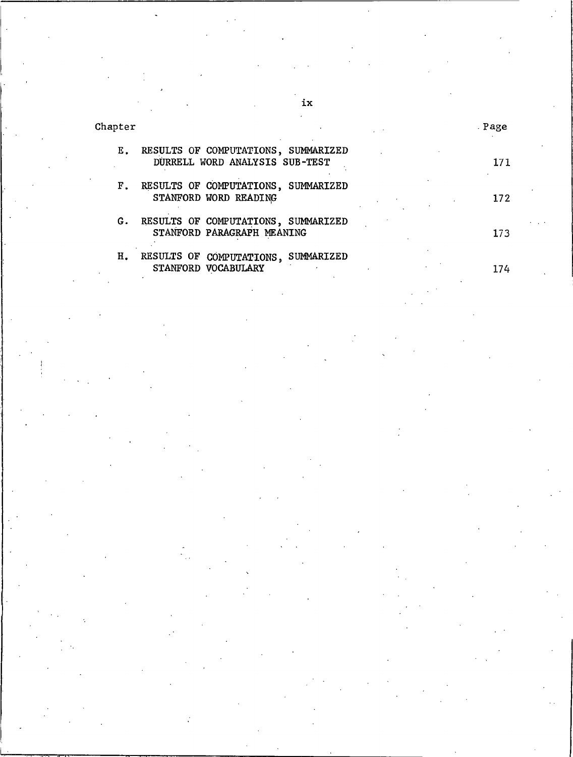Chapter

|    | E. RESULTS OF COMPUTATIONS, SUMMARIZED<br>DURRELL WORD ANALYSIS SUB-TEST | 171 |
|----|--------------------------------------------------------------------------|-----|
| F. | RESULTS OF COMPUTATIONS, SUMMARIZED<br>STANFORD WORD READING             | 172 |
| G. | RESULTS OF COMPUTATIONS, SUMMARIZED<br>STANFORD PARAGRAPH MEANING        | 173 |
| н. | RESULTS OF COMPUTATIONS, SUMMARIZED<br>STANFORD VOCABULARY               | 174 |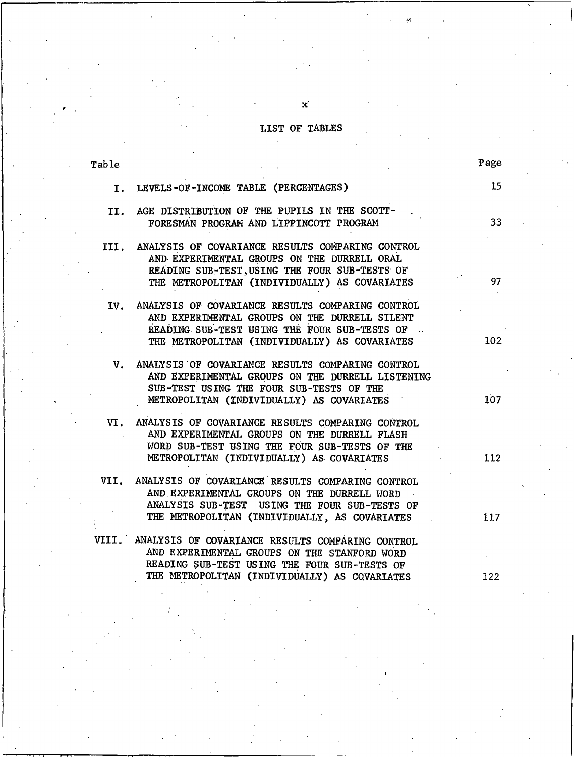# LIST OF TABLES

 $\mathbf{x}^{'}$ 

| Table |                                                                                                                                                                                                         | Page |
|-------|---------------------------------------------------------------------------------------------------------------------------------------------------------------------------------------------------------|------|
|       | I. LEVELS-OF-INCOME TABLE (PERCENTAGES)                                                                                                                                                                 | 15   |
|       |                                                                                                                                                                                                         |      |
|       | II. AGE DISTRIBUTION OF THE PUPILS IN THE SCOTT-<br>FORESMAN PROGRAM AND LIPPINCOTT PROGRAM                                                                                                             | 33   |
|       | III. ANALYSIS OF COVARIANCE RESULTS COMPARING CONTROL<br>AND EXPERIMENTAL GROUPS ON THE DURRELL ORAL<br>READING SUB-TEST, USING THE FOUR SUB-TESTS OF<br>THE METROPOLITAN (INDIVIDUALLY) AS COVARIATES  | 97   |
|       | IV. ANALYSIS OF COVARIANCE RESULTS COMPARING CONTROL<br>AND EXPERIMENTAL GROUPS ON THE DURRELL SILENT<br>READING SUB-TEST USING THE FOUR SUB-TESTS OF<br>THE METROPOLITAN (INDIVIDUALLY) AS COVARIATES  | 102  |
|       | V. ANALYSIS OF COVARIANCE RESULTS COMPARING CONTROL<br>AND EXPERIMENTAL GROUPS ON THE DURRELL LISTENING<br>SUB-TEST USING THE FOUR SUB-TESTS OF THE<br>METROPOLITAN (INDIVIDUALLY) AS COVARIATES        | 107  |
|       | VI. ANALYSIS OF COVARIANCE RESULTS COMPARING CONTROL<br>AND EXPERIMENTAL GROUPS ON THE DURRELL FLASH<br>WORD SUB-TEST USING THE FOUR SUB-TESTS OF THE<br>METROPOLITAN (INDIVIDUALLY) AS COVARIATES      | 112  |
|       | VII. ANALYSIS OF COVARIANCE RESULTS COMPARING CONTROL<br>AND EXPERIMENTAL GROUPS ON THE DURRELL WORD<br>ANALYSIS SUB-TEST USING THE FOUR SUB-TESTS OF<br>THE METROPOLITAN (INDIVIDUALLY, AS COVARIATES  | 117  |
|       | VIII. ANALYSIS OF COVARIANCE RESULTS COMPARING CONTROL<br>AND EXPERIMENTAL GROUPS ON THE STANFORD WORD<br>READING SUB-TEST USING THE FOUR SUB-TESTS OF<br>THE METROPOLITAN (INDIVIDUALLY) AS COVARIATES | 122  |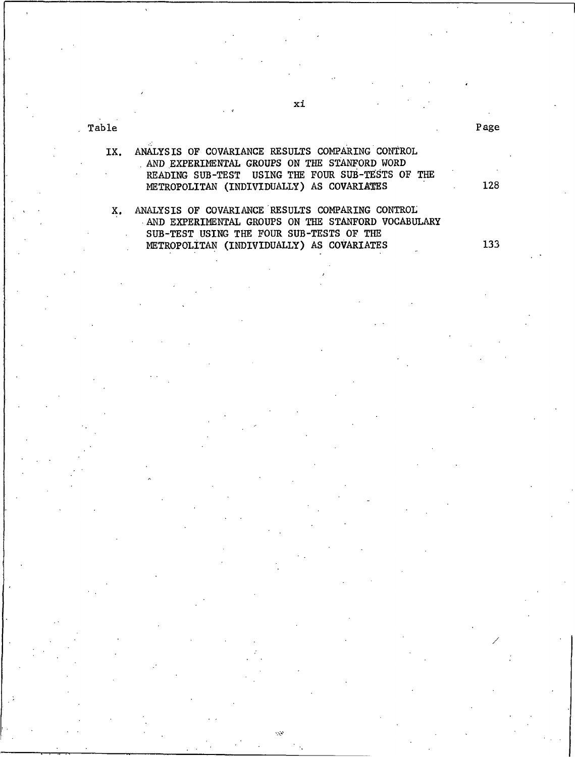Table

#### ANALYSIS OF COVARIANCE RESULTS COMPARING CONTROL IX. AND EXPERIMENTAL GROUPS ON THE STANFORD WORD READING SUB-TEST USING THE FOUR SUB-TESTS OF THE METROPOLITAN (INDIVIDUALLY) AS COVARIATES

X. ANALYSIS OF COVARIANCE RESULTS COMPARING CONTROL AND EXPERIMENTAL GROUPS ON THE STANFORD VOCABULARY SUB-TEST USING THE FOUR SUB-TESTS OF THE METROPOLITAN (INDIVIDUALLY) AS COVARIATES

133

128

Page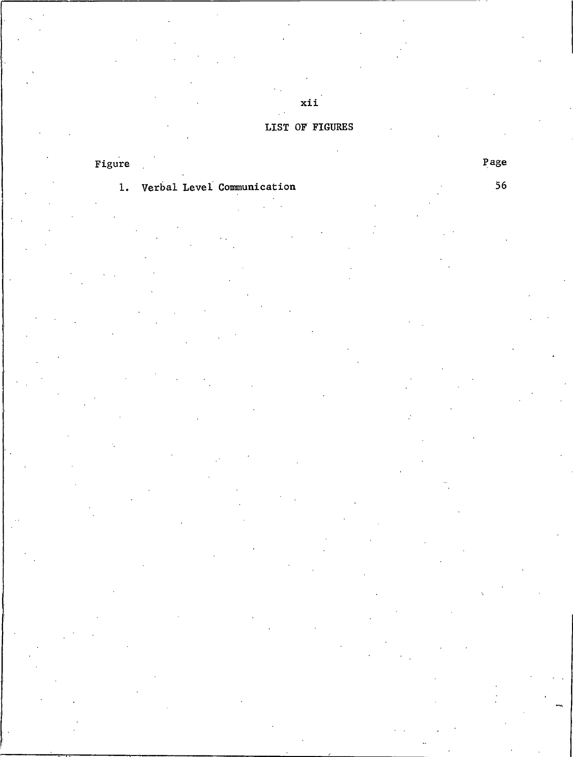### LIST OF FIGURES

 $xii$ 

# Figure

## 1. Verbal Level Communication

Page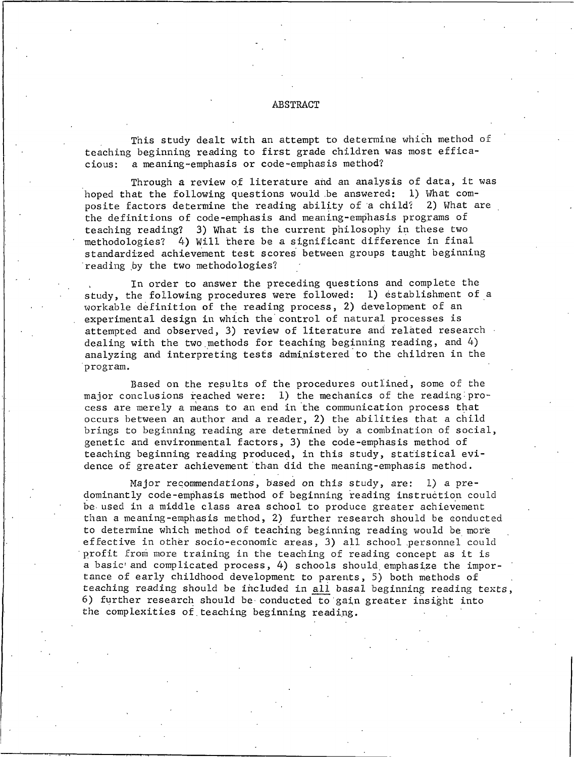#### **ABSTRACT**

This study dealt with an attempt to determine which method of teaching beginning reading to first grade children was most efficaa meaning-emphasis or code-emphasis method? cious:

Through a review of literature and an analysis of data, it was hoped that the following questions would be answered: 1) What composite factors determine the reading ability of a child? 2) What are the definitions of code-emphasis and meaning-emphasis programs of teaching reading? 3) What is the current philosophy in these two methodologies? 4) Will there be a significant difference in final standardized achievement test scores between groups taught beginning reading by the two methodologies?

In order to answer the preceding questions and complete the study, the following procedures were followed: 1) establishment of a workable definition of the reading process, 2) development of an experimental design in which the control of natural processes is attempted and observed, 3) review of literature and related research dealing with the two methods for teaching beginning reading, and  $4$ ) analyzing and interpreting tests administered to the children in the program.

Based on the results of the procedures outlined, some of the major conclusions reached were: 1) the mechanics of the reading process are merely a means to an end in the communication process that occurs between an author and a reader, 2) the abilities that a child brings to beginning reading are determined by a combination of social, genetic and environmental factors, 3) the code-emphasis method of teaching beginning reading produced, in this study, statistical evidence of greater achievement than did the meaning-emphasis method.

Major recommendations, based on this study, are: 1) a predominantly code-emphasis method of beginning reading instruction could be used in a middle class area school to produce greater achievement than a meaning-emphasis method, 2) further research should be conducted to determine which method of teaching beginning reading would be more effective in other socio-economic areas, 3) all school personnel could profit from more training in the teaching of reading concept as it is a basic and complicated process, 4) schools should emphasize the importance of early childhood development to parents, 5) both methods of teaching reading should be included in all basal beginning reading texts, 6) further research should be conducted to gain greater insight into the complexities of teaching beginning reading.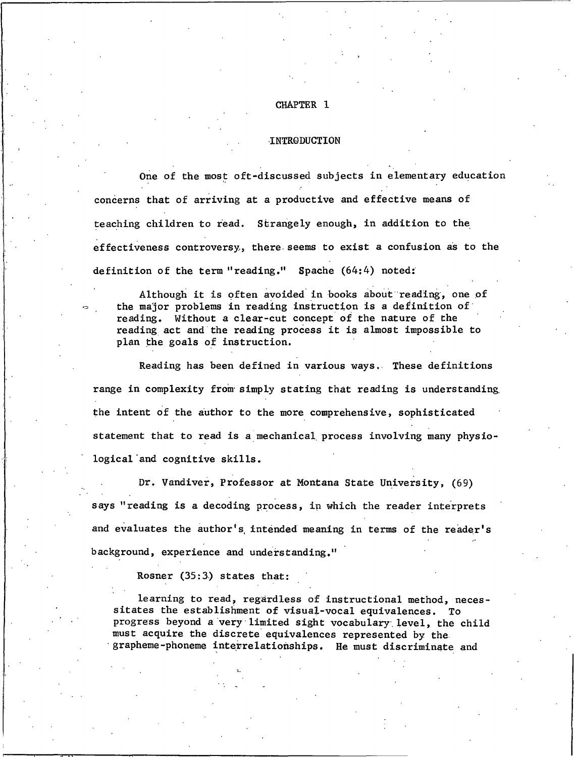#### CHAPTER 1

#### **INTRODUCTION**

One of the most oft-discussed subjects in elementary education concerns that of arriving at a productive and effective means of teaching children to read. Strangely enough, in addition to the effectiveness controversy, there seems to exist a confusion as to the definition of the term "reading." Spache (64:4) noted:

Although it is often avoided in books about reading, one of the major problems in reading instruction is a definition of reading. Without a clear-cut concept of the nature of the reading act and the reading process it is almost impossible to plan the goals of instruction.

Reading has been defined in various ways. These definitions range in complexity from simply stating that reading is understanding the intent of the author to the more comprehensive, sophisticated statement that to read is a mechanical process involving many physiological and cognitive skills.

Dr. Vandiver, Professor at Montana State University, (69) says "reading is a decoding process, in which the reader interprets and evaluates the author's intended meaning in terms of the reader's background, experience and understanding."

Rosner (35:3) states that:

learning to read, regardless of instructional method, necessitates the establishment of visual-vocal equivalences. To progress beyond a very limited sight vocabulary level, the child must acquire the discrete equivalences represented by the grapheme-phoneme interrelationships. He must discriminate and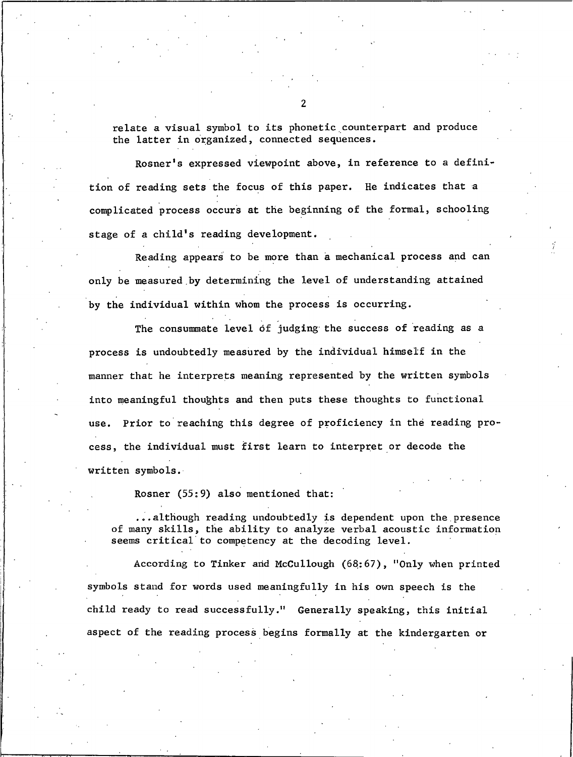relate a visual symbol to its phonetic counterpart and produce the latter in organized, connected sequences.

Rosner's expressed viewpoint above, in reference to a definition of reading sets the focus of this paper. He indicates that a complicated process occurs at the beginning of the formal, schooling stage of a child's reading development.

Reading appears to be more than a mechanical process and can only be measured by determining the level of understanding attained by the individual within whom the process is occurring.

The consummate level of judging the success of reading as a process is undoubtedly measured by the individual himself in the manner that he interprets meaning represented by the written symbols into meaningful thoughts and then puts these thoughts to functional use. Prior to reaching this degree of proficiency in the reading process, the individual must first learn to interpret or decode the written symbols.

Rosner (55:9) also mentioned that:

...although reading undoubtedly is dependent upon the presence of many skills, the ability to analyze verbal acoustic information seems critical to competency at the decoding level.

According to Tinker and McCullough (68:67), "Only when printed symbols stand for words used meaningfully in his own speech is the child ready to read successfully." Generally speaking, this initial aspect of the reading process begins formally at the kindergarten or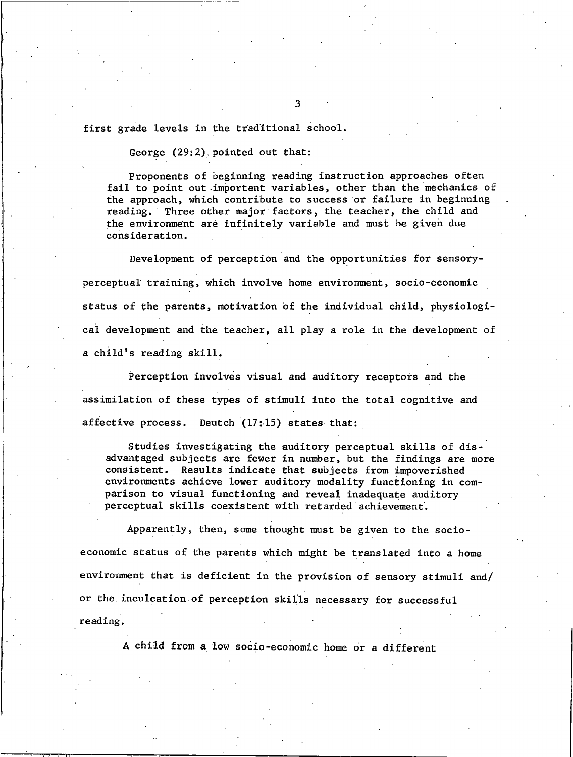first grade levels in the traditional school.

George (29:2) pointed out that:

Proponents of beginning reading instruction approaches often fail to point out important variables, other than the mechanics of the approach, which contribute to success or failure in beginning reading. Three other major factors, the teacher, the child and the environment are infinitely variable and must be given due consideration.

Development of perception and the opportunities for sensoryperceptual training, which involve home environment, socio-economic status of the parents, motivation of the individual child, physiological development and the teacher, all play a role in the development of a child's reading skill.

Perception involves visual and auditory receptors and the assimilation of these types of stimuli into the total cognitive and affective process. Deutch (17:15) states that:

Studies investigating the auditory perceptual skills of disadvantaged subjects are fewer in number, but the findings are more consistent. Results indicate that subjects from impoverished environments achieve lower auditory modality functioning in comparison to visual functioning and reveal inadequate auditory perceptual skills coexistent with retarded achievement.

Apparently, then, some thought must be given to the socioeconomic status of the parents which might be translated into a home environment that is deficient in the provision of sensory stimuli and/ or the inculcation of perception skills necessary for successful reading.

A child from a low socio-economic home or a different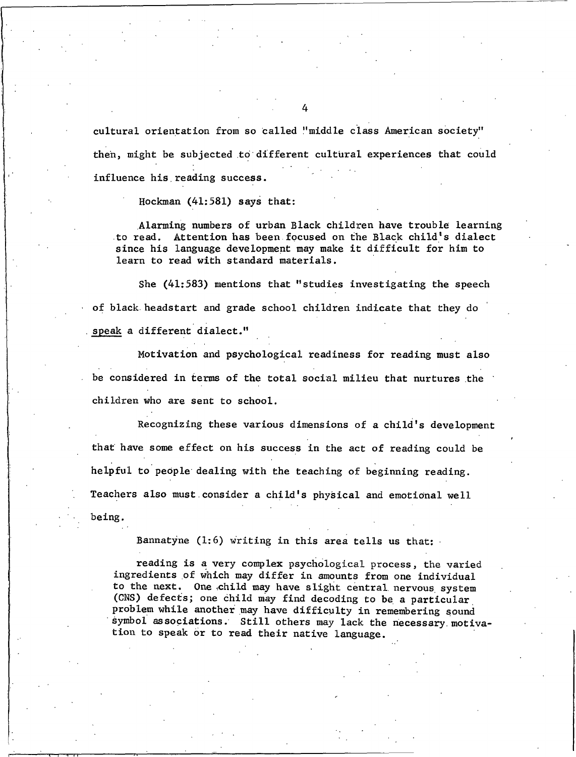cultural orientation from so called "middle class American society" then, might be subjected to different cultural experiences that could influence his reading success.

Hockman (41:581) says that:

Alarming numbers of urban Black children have trouble learning to read. Attention has been focused on the Black child's dialect since his language development may make it difficult for him to learn to read with standard materials.

She (41:583) mentions that "studies investigating the speech of black headstart and grade school children indicate that they do speak a different dialect."

Motivation and psychological readiness for reading must also be considered in terms of the total social milieu that nurtures the children who are sent to school.

Recognizing these various dimensions of a child's development that have some effect on his success in the act of reading could be helpful to people dealing with the teaching of beginning reading. Teachers also must consider a child's physical and emotional well being.

Bannatyne (1:6) writing in this area tells us that:

reading is a very complex psychological process, the varied ingredients of which may differ in amounts from one individual to the next. One child may have slight central nervous system (CNS) defects; one child may find decoding to be a particular problem while another may have difficulty in remembering sound symbol associations. Still others may lack the necessary motivation to speak or to read their native language.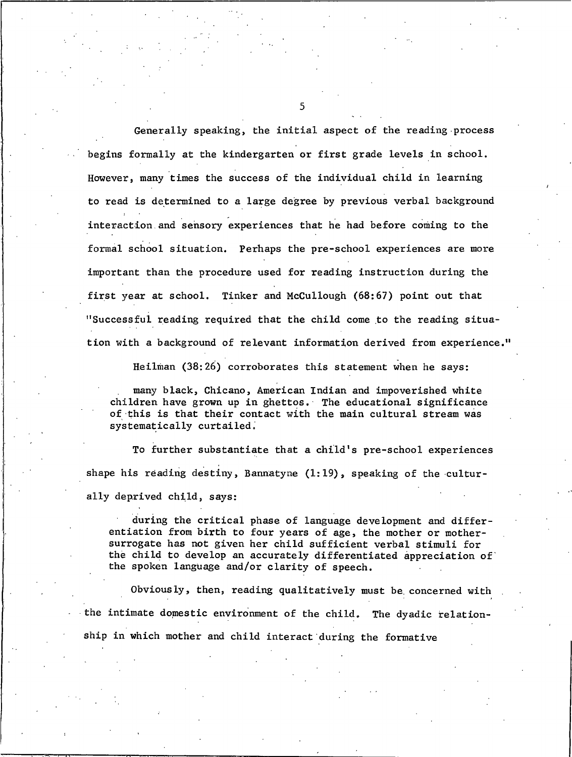Generally speaking, the initial aspect of the reading process begins formally at the kindergarten or first grade levels in school. However, many times the success of the individual child in learning to read is determined to a large degree by previous verbal background interaction and sensory experiences that he had before coming to the formal school situation. Perhaps the pre-school experiences are more important than the procedure used for reading instruction during the first year at school. Tinker and McCullough (68:67) point out that "Successful reading required that the child come to the reading situation with a background of relevant information derived from experience."

Heilman (38:26) corroborates this statement when he says:

many black, Chicano, American Indian and impoverished white children have grown up in ghettos. The educational significance of this is that their contact with the main cultural stream was systematically curtailed.

To further substantiate that a child's pre-school experiences shape his reading destiny, Bannatyne  $(1:19)$ , speaking of the culturally deprived child, says:

during the critical phase of language development and differentiation from birth to four years of age, the mother or mothersurrogate has not given her child sufficient verbal stimuli for the child to develop an accurately differentiated appreciation of the spoken language and/or clarity of speech.

Obviously, then, reading qualitatively must be concerned with the intimate domestic environment of the child. The dyadic relationship in which mother and child interact during the formative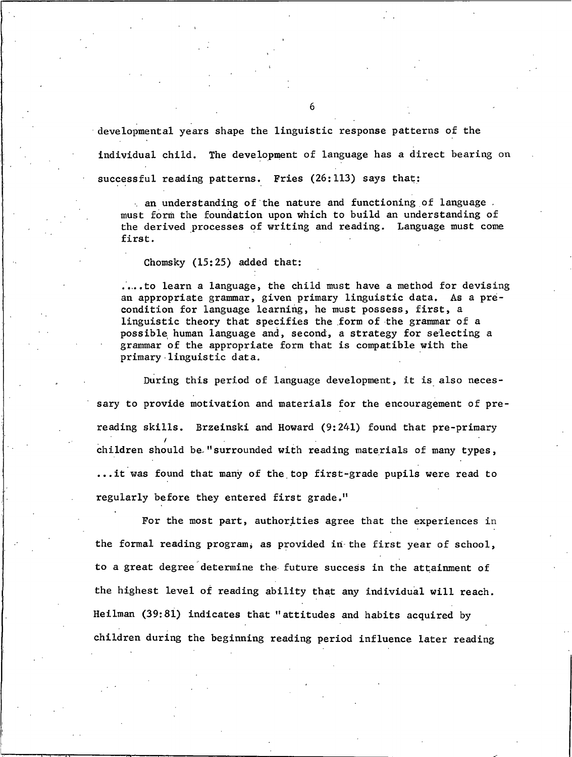developmental years shape the linguistic response patterns of the individual child. The development of language has a direct bearing on successful reading patterns. Fries (26:113) says that:

an understanding of the nature and functioning of language. must form the foundation upon which to build an understanding of the derived processes of writing and reading. Language must come first.

Chomsky  $(15:25)$  added that:

....to learn a language, the child must have a method for devising an appropriate grammar, given primary linguistic data. As a precondition for language learning, he must possess, first, a linguistic theory that specifies the form of the grammar of a possible human language and, second, a strategy for selecting a grammar of the appropriate form that is compatible with the primary linguistic data.

During this period of language development, it is also necessary to provide motivation and materials for the encouragement of prereading skills. Brzeinski and Howard (9:241) found that pre-primary children should be "surrounded with reading materials of many types, ... it was found that many of the top first-grade pupils were read to regularly before they entered first grade."

For the most part, authorities agree that the experiences in the formal reading program, as provided in the first year of school, to a great degree determine the future success in the attainment of the highest level of reading ability that any individual will reach. Heilman (39:81) indicates that "attitudes and habits acquired by children during the beginning reading period influence later reading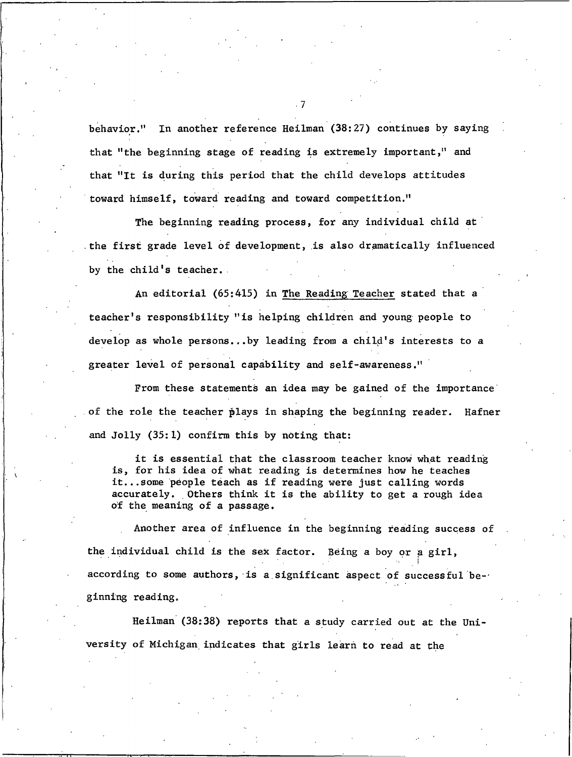behavior." In another reference Heilman (38:27) continues by saying that "the beginning stage of reading is extremely important," and that "It is during this period that the child develops attitudes toward himself, toward reading and toward competition."

The beginning reading process, for any individual child at the first grade level of development, is also dramatically influenced by the child's teacher.

An editorial (65:415) in The Reading Teacher stated that a teacher's responsibility "is helping children and young people to develop as whole persons...by leading from a child's interests to a greater level of personal capability and self-awareness."

From these statements an idea may be gained of the importance of the role the teacher plays in shaping the beginning reader. Hafner and Jolly (35:1) confirm this by noting that:

it is essential that the classroom teacher know what reading is, for his idea of what reading is determines how he teaches it...some people teach as if reading were just calling words accurately. Others think it is the ability to get a rough idea of the meaning of a passage.

Another area of influence in the beginning reading success of the individual child is the sex factor. Being a boy or a girl, according to some authors, is a significant aspect of successful beginning reading.

Heilman (38:38) reports that a study carried out at the University of Michigan indicates that girls learn to read at the

 $\overline{z}$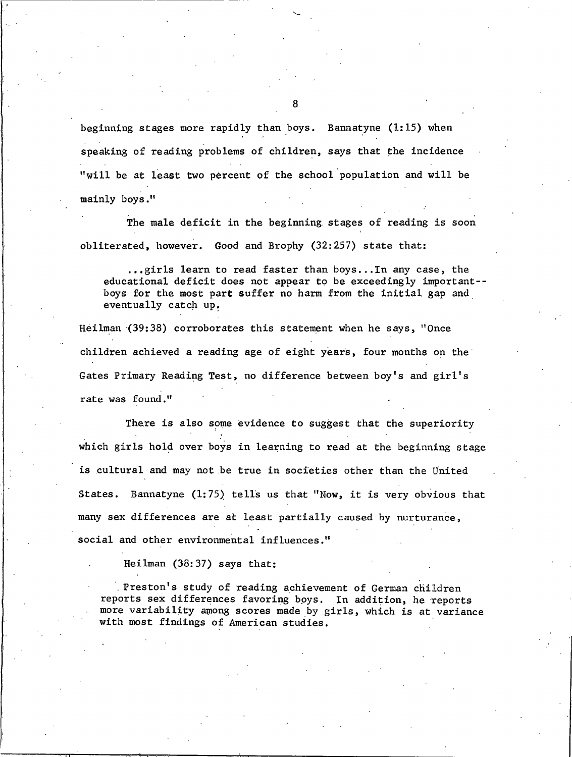beginning stages more rapidly than boys. Bannatyne (1:15) when speaking of reading problems of children, says that the incidence "will be at least two percent of the school population and will be mainly boys."

The male deficit in the beginning stages of reading is soon obliterated, however. Good and Brophy (32:257) state that:

...girls learn to read faster than boys...In any case, the educational deficit does not appear to be exceedingly important-boys for the most part suffer no harm from the initial gap and eventually catch up.

Heilman (39:38) corroborates this statement when he says, "Once children achieved a reading age of eight years, four months on the Gates Primary Reading Test, no difference between boy's and girl's rate was found."

There is also some evidence to suggest that the superiority which girls hold over boys in learning to read at the beginning stage is cultural and may not be true in societies other than the United States. Bannatyne (1:75) tells us that "Now, it is very obvious that many sex differences are at least partially caused by nurturance, social and other environmental influences."

Heilman  $(38:37)$  says that:

Preston's study of reading achievement of German children reports sex differences favoring boys. In addition, he reports more variability among scores made by girls, which is at variance with most findings of American studies.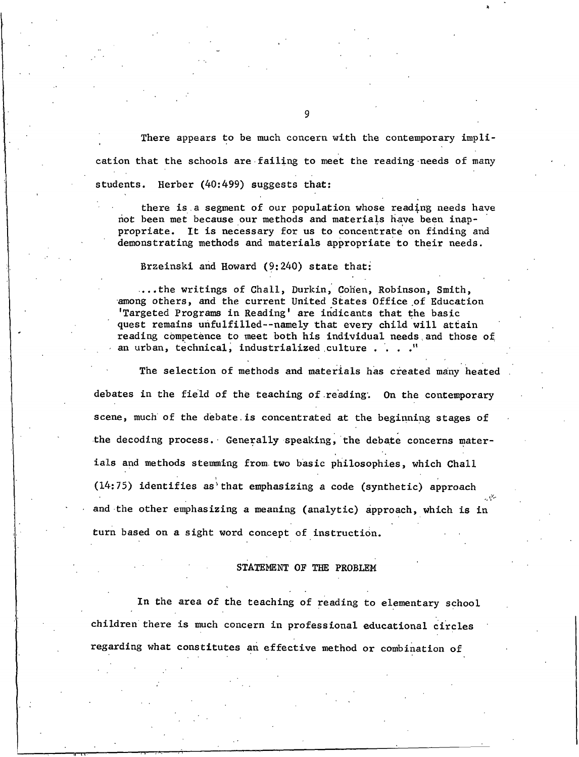There appears to be much concern with the contemporary implication that the schools are failing to meet the reading needs of many students. Herber (40:499) suggests that:

there is a segment of our population whose reading needs have not been met because our methods and materials have been inappropriate. It is necessary for us to concentrate on finding and demonstrating methods and materials appropriate to their needs.

Brzeinski and Howard (9:240) state that:

... the writings of Chall, Durkin, Cohen, Robinson, Smith, among others, and the current United States Office of Education 'Targeted Programs in Reading' are indicants that the basic quest remains unfulfilled--namely that every child will attain reading competence to meet both his individual needs and those of an urban, technical, industrialized culture . . . ."

The selection of methods and materials has created many heated debates in the field of the teaching of reading. On the contemporary scene, much of the debate is concentrated at the beginning stages of the decoding process. Generally speaking, the debate concerns materials and methods stemming from two basic philosophies, which Chall  $(14:75)$  identifies as that emphasizing a code (synthetic) approach and the other emphasizing a meaning (analytic) approach, which is in turn based on a sight word concept of instruction.

#### STATEMENT OF THE PROBLEM

In the area of the teaching of reading to elementary school children there is much concern in professional educational circles regarding what constitutes an effective method or combination of

q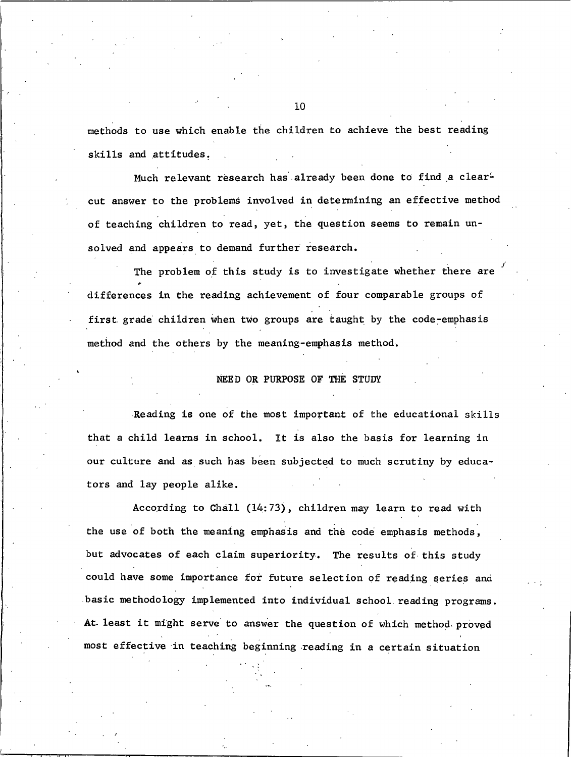methods to use which enable the children to achieve the best reading skills and attitudes.

Much relevant research has already been done to find a clearcut answer to the problems involved in determining an effective method of teaching children to read, yet, the question seems to remain unsolved and appears to demand further research.

The problem of this study is to investigate whether there are differences in the reading achievement of four comparable groups of first grade children when two groups are taught by the code-emphasis method and the others by the meaning-emphasis method.

#### NEED OR PURPOSE OF THE STUDY

Reading is one of the most important of the educational skills that a child learns in school. It is also the basis for learning in our culture and as such has been subjected to much scrutiny by educators and lay people alike.

According to Chall (14:73), children may learn to read with the use of both the meaning emphasis and the code emphasis methods, but advocates of each claim superiority. The results of this study could have some importance for future selection of reading series and basic methodology implemented into individual school reading programs. At least it might serve to answer the question of which method proved most effective in teaching beginning reading in a certain situation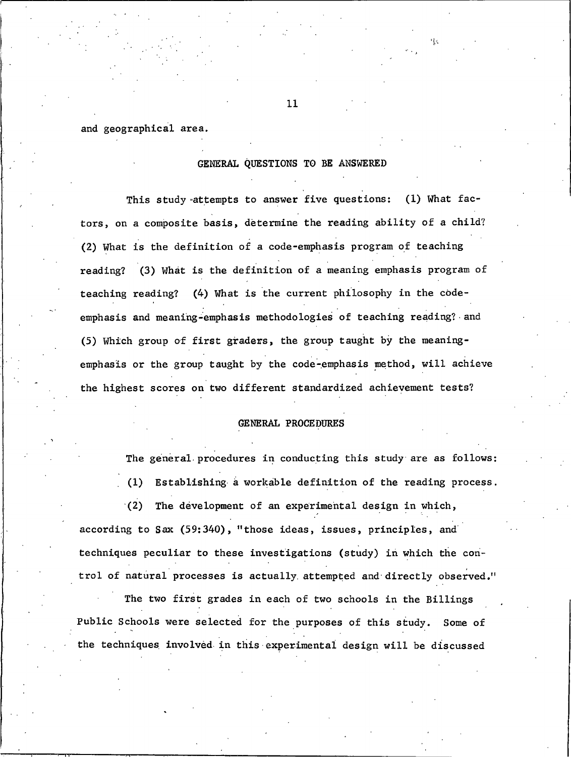and geographical area.

#### GENERAL QUESTIONS TO BE ANSWERED

This study attempts to answer five questions: (1) What factors, on a composite basis, determine the reading ability of a child? (2) What is the definition of a code-emphasis program of teaching reading? (3) What is the definition of a meaning emphasis program of teaching reading? (4) What is the current philosophy in the codeemphasis and meaning-emphasis methodologies of teaching reading? and (5) Which group of first graders, the group taught by the meaningemphasis or the group taught by the code-emphasis method, will achieve the highest scores on two different standardized achievement tests?

#### GENERAL PROCEDURES

The general procedures in conducting this study are as follows:

Establishing a workable definition of the reading process.  $(1)$ 

 $(2)$ The development of an experimental design in which, according to Sax (59:340), "those ideas, issues, principles, and techniques peculiar to these investigations (study) in which the control of natural processes is actually attempted and directly observed."

The two first grades in each of two schools in the Billings Public Schools were selected for the purposes of this study. Some of the techniques involved in this experimental design will be discussed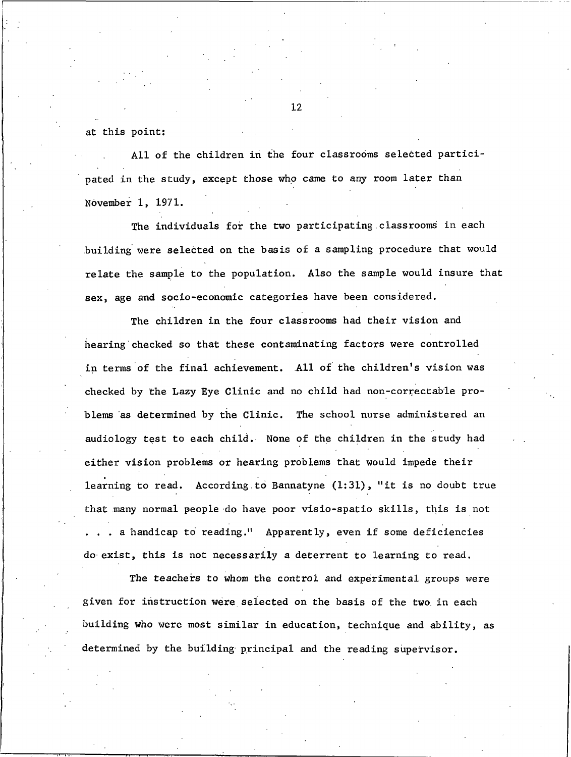at this point:

All of the children in the four classrooms selected participated in the study, except those who came to any room later than November 1, 1971.

The individuals for the two participating classrooms in each building were selected on the basis of a sampling procedure that would relate the sample to the population. Also the sample would insure that sex, age and socio-economic categories have been considered.

The children in the four classrooms had their vision and hearing checked so that these contaminating factors were controlled in terms of the final achievement. All of the children's vision was checked by the Lazy Eye Clinic and no child had non-correctable problems as determined by the Clinic. The school nurse administered an audiology test to each child. None of the children in the study had either vision problems or hearing problems that would impede their learning to read. According to Bannatyne (1:31), "it is no doubt true that many normal people do have poor visio-spatio skills, this is not .. a handicap to reading." Apparently, even if some deficiencies do exist, this is not necessarily a deterrent to learning to read.

The teachers to whom the control and experimental groups were given for instruction were selected on the basis of the two in each building who were most similar in education, technique and ability, as determined by the building principal and the reading supervisor.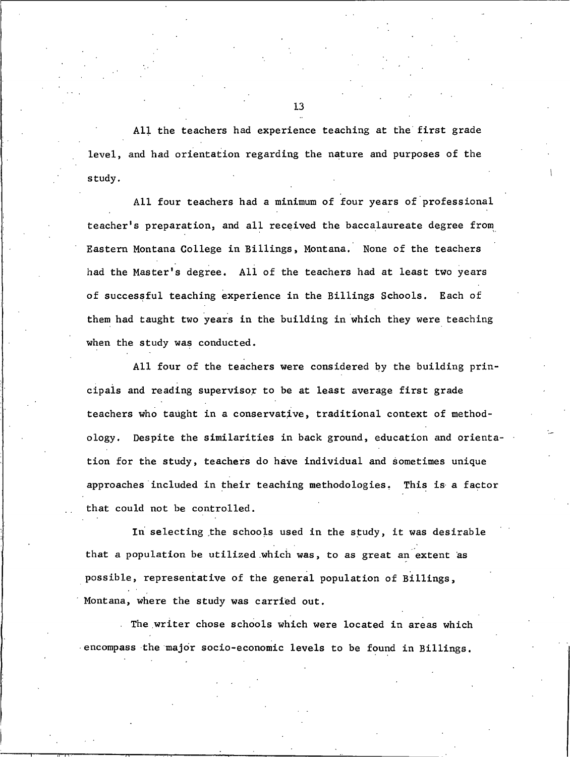All the teachers had experience teaching at the first grade level, and had orientation regarding the nature and purposes of the study.

All four teachers had a minimum of four years of professional teacher's preparation, and all received the baccalaureate degree from Eastern Montana College in Billings, Montana. None of the teachers had the Master's degree. All of the teachers had at least two years of successful teaching experience in the Billings Schools. Each of them had taught two years in the building in which they were teaching when the study was conducted.

All four of the teachers were considered by the building principals and reading supervisor to be at least average first grade teachers who taught in a conservative, traditional context of methodology. Despite the similarities in back ground, education and orientation for the study, teachers do have individual and sometimes unique approaches included in their teaching methodologies. This is a factor that could not be controlled.

In selecting the schools used in the study, it was desirable that a population be utilized which was, to as great an extent as possible, representative of the general population of Billings, Montana, where the study was carried out.

The writer chose schools which were located in areas which encompass the major socio-economic levels to be found in Billings.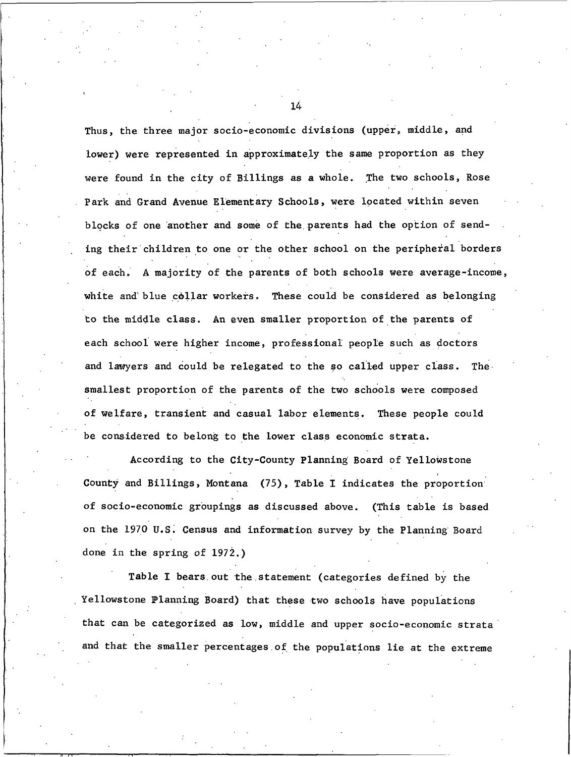Thus, the three major socio-economic divisions (upper, middle, and lower) were represented in approximately the same proportion as they were found in the city of Billings as a whole. The two schools, Rose Park and Grand Avenue Elementary Schools, were located within seven blocks of one another and some of the parents had the option of sending their children to one or the other school on the peripheral borders of each. A majority of the parents of both schools were average-income, white and blue collar workers. These could be considered as belonging to the middle class. An even smaller proportion of the parents of each school were higher income, professional people such as doctors and lawyers and could be relegated to the so called upper class. The. smallest proportion of the parents of the two schools were composed of welfare, transient and casual labor elements. These people could be considered to belong to the lower class economic strata.

According to the City-County Planning Board of Yellowstone County and Billings, Montana (75), Table I indicates the proportion of socio-economic groupings as discussed above. (This table is based on the 1970 U.S. Census and information survey by the Planning Board done in the spring of  $1972$ .)

Table I bears out the statement (categories defined by the Yellowstone Planning Board) that these two schools have populations that can be categorized as low, middle and upper socio-economic strata and that the smaller percentages of the populations lie at the extreme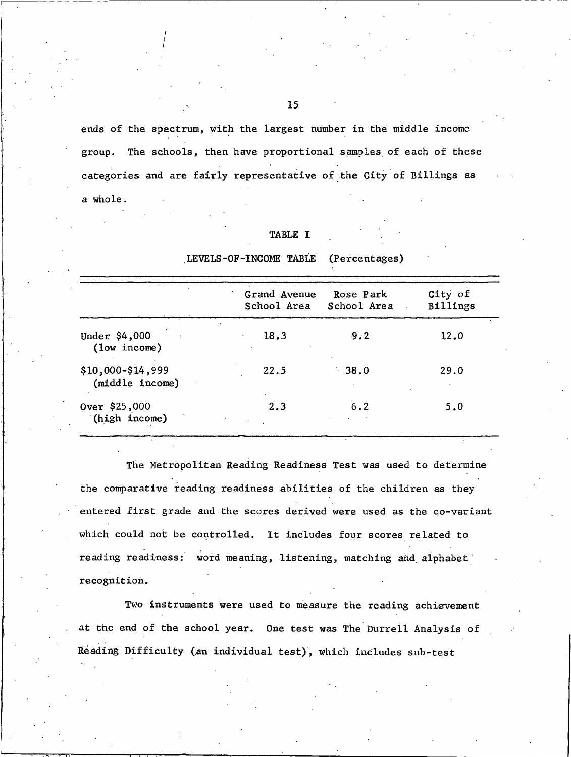ends of the spectrum, with the largest number in the middle income group. The schools, then have proportional samples of each of these categories and are fairly representative of the City of Billings as a whole.

| <b>TABLE</b> |  |  |
|--------------|--|--|
|              |  |  |

|                                      | Grand Avenue<br>School Area | Rose Park<br>School Area | City of<br>Billings |
|--------------------------------------|-----------------------------|--------------------------|---------------------|
| Under \$4,000<br>(1ow income)        | 18.3                        | 9.2                      | 12.0                |
| \$10,000-\$14,999<br>(middle income) | 22.5                        | $-38.0$                  | 29.0                |
| 000, 000 Over<br>(high income)       | 2.3                         | 6.2                      | 5.0                 |

LEVELS-OF-INCOME TABLE (Percentages)

The Metropolitan Reading Readiness Test was used to determine the comparative reading readiness abilities of the children as they entered first grade and the scores derived were used as the co-variant which could not be controlled. It includes four scores related to reading readiness: word meaning, listening, matching and alphabet recognition.

Two instruments were used to measure the reading achievement at the end of the school year. One test was The Durrell Analysis of Reading Difficulty (an individual test), which includes sub-test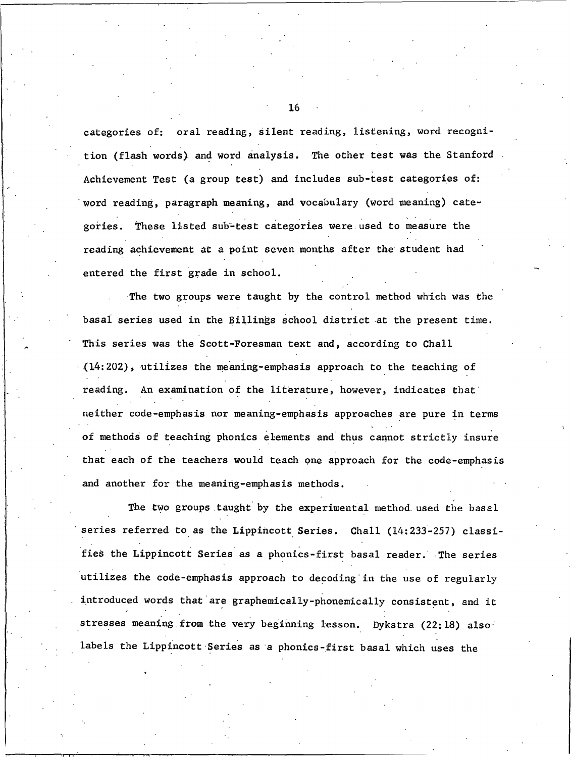categories of: oral reading, silent reading, listening, word recognition (flash words) and word analysis. The other test was the Stanford Achievement Test (a group test) and includes sub-test categories of: word reading, paragraph meaning, and vocabulary (word meaning) categories. These listed sub-test categories were used to measure the reading achievement at a point seven months after the student had entered the first grade in school.

The two groups were taught by the control method which was the basal series used in the Billings school district at the present time. This series was the Scott-Foresman text and, according to Chall  $(14:202)$ , utilizes the meaning-emphasis approach to the teaching of reading. An examination of the literature, however, indicates that neither code-emphasis nor meaning-emphasis approaches are pure in terms of methods of teaching phonics elements and thus cannot strictly insure that each of the teachers would teach one approach for the code-emphasis and another for the meaning-emphasis methods.

The two groups taught by the experimental method used the basal series referred to as the Lippincott Series. Chall (14:233-257) classifies the Lippincott Series as a phonics-first basal reader. The series utilizes the code-emphasis approach to decoding in the use of regularly introduced words that are graphemically-phonemically consistent, and it stresses meaning from the very beginning lesson. Dykstra (22:18) also labels the Lippincott Series as a phonics-first basal which uses the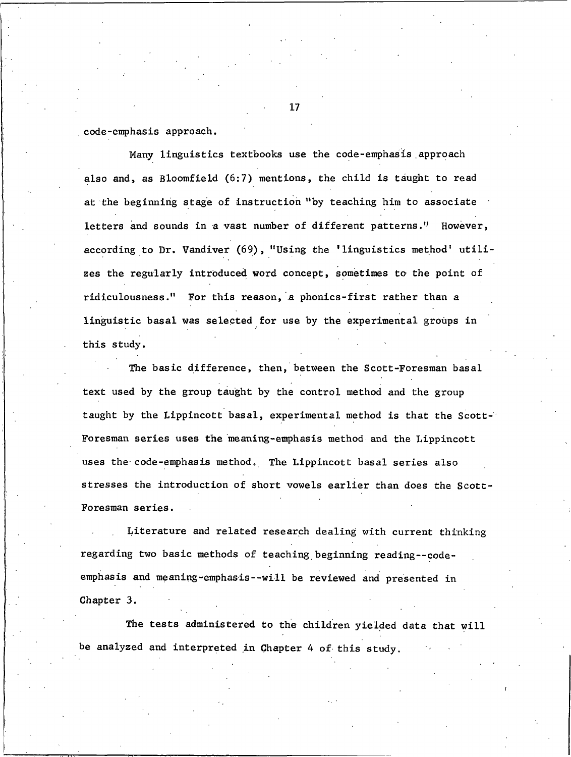code-emphasis approach.

Many linguistics textbooks use the code-emphasis approach also and, as Bloomfield (6:7) mentions, the child is taught to read at the beginning stage of instruction "by teaching him to associate letters and sounds in a vast number of different patterns." However, according to Dr. Vandiver (69), "Using the 'linguistics method' utilizes the regularly introduced word concept, sometimes to the point of ridiculousness." For this reason, a phonics-first rather than a linguistic basal was selected for use by the experimental groups in this study.

The basic difference, then, between the Scott-Foresman basal text used by the group taught by the control method and the group taught by the Lippincott basal, experimental method is that the Scott-Foresman series uses the meaning-emphasis method and the Lippincott uses the code-emphasis method. The Lippincott basal series also stresses the introduction of short vowels earlier than does the Scott-Foresman series.

Literature and related research dealing with current thinking regarding two basic methods of teaching beginning reading--codeemphasis and meaning-emphasis--will be reviewed and presented in Chapter 3.

The tests administered to the children yielded data that will be analyzed and interpreted in Chapter 4 of this study.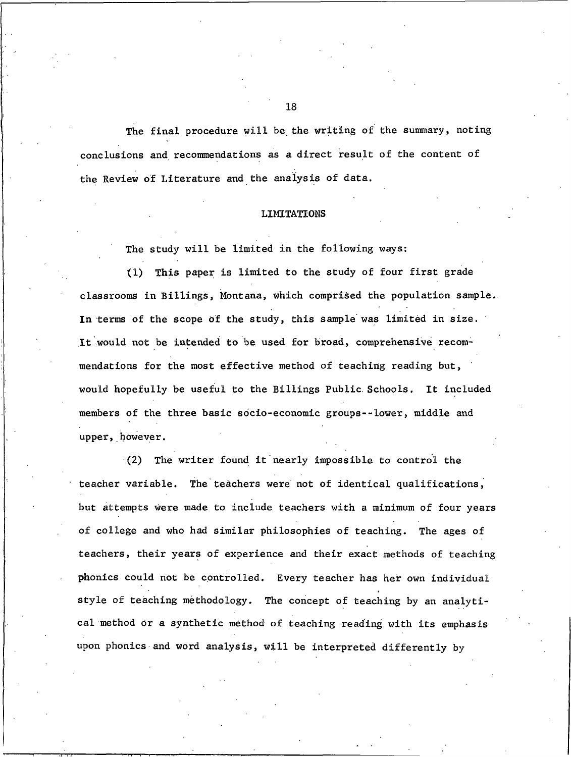The final procedure will be the writing of the summary, noting conclusions and recommendations as a direct result of the content of the Review of Literature and the analysis of data.

#### **LIMITATIONS**

The study will be limited in the following ways:

(1) This paper is limited to the study of four first grade classrooms in Billings, Montana, which comprised the population sample. In terms of the scope of the study, this sample was limited in size. It would not be intended to be used for broad, comprehensive recommendations for the most effective method of teaching reading but, would hopefully be useful to the Billings Public Schools. It included members of the three basic socio-economic groups--lower, middle and upper, however.

(2) The writer found it nearly impossible to control the teacher variable. The teachers were not of identical qualifications, but attempts were made to include teachers with a minimum of four years of college and who had similar philosophies of teaching. The ages of teachers, their years of experience and their exact methods of teaching phonics could not be controlled. Every teacher has her own individual style of teaching methodology. The concept of teaching by an analytical method or a synthetic method of teaching reading with its emphasis upon phonics and word analysis, will be interpreted differently by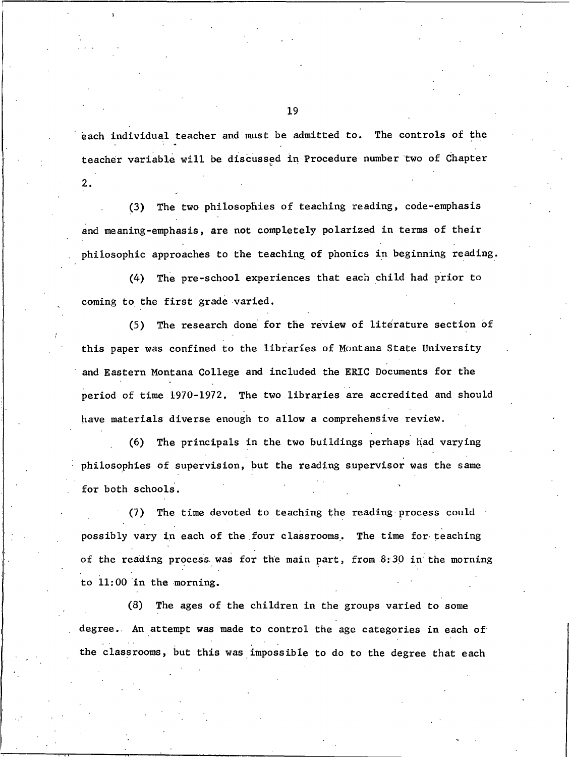each individual teacher and must be admitted to. The controls of the teacher variable will be discussed in Procedure number two of Chapter

2.

The two philosophies of teaching reading, code-emphasis  $(3)$ and meaning-emphasis, are not completely polarized in terms of their philosophic approaches to the teaching of phonics in beginning reading.

The pre-school experiences that each child had prior to  $(4)$ coming to the first grade varied.

The research done for the review of literature section of  $(5)$ this paper was confined to the libraries of Montana State University and Eastern Montana College and included the ERIC Documents for the period of time 1970-1972. The two libraries are accredited and should have materials diverse enough to allow a comprehensive review.

The principals in the two buildings perhaps had varying  $(6)$ philosophies of supervision, but the reading supervisor was the same for both schools.

The time devoted to teaching the reading process could  $(7)$ possibly vary in each of the four classrooms. The time for teaching of the reading process was for the main part, from 8:30 in the morning to 11:00 in the morning.

(8) The ages of the children in the groups varied to some degree. An attempt was made to control the age categories in each of the classrooms, but this was impossible to do to the degree that each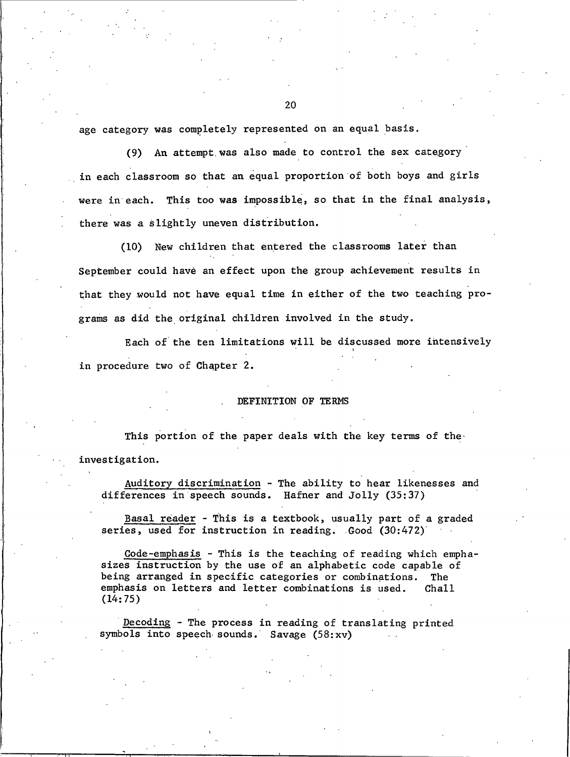age category was completely represented on an equal basis.

(9) An attempt was also made to control the sex category in each classroom so that an equal proportion of both boys and girls were in each. This too was impossible, so that in the final analysis, there was a slightly uneven distribution.

(10) New children that entered the classrooms later than September could have an effect upon the group achievement results in that they would not have equal time in either of the two teaching programs as did the original children involved in the study.

Each of the ten limitations will be discussed more intensively in procedure two of Chapter 2.

#### DEFINITION OF TERMS

This portion of the paper deals with the key terms of the investigation.

Auditory discrimination - The ability to hear likenesses and differences in speech sounds. Hafner and Jolly (35:37)

Basal reader - This is a textbook, usually part of a graded series, used for instruction in reading. Good (30:472)

Code-emphasis - This is the teaching of reading which emphasizes instruction by the use of an alphabetic code capable of being arranged in specific categories or combinations. The emphasis on letters and letter combinations is used.  $Chall$  $(14:75)$ 

Decoding - The process in reading of translating printed symbols into speech sounds. Savage (58:xv)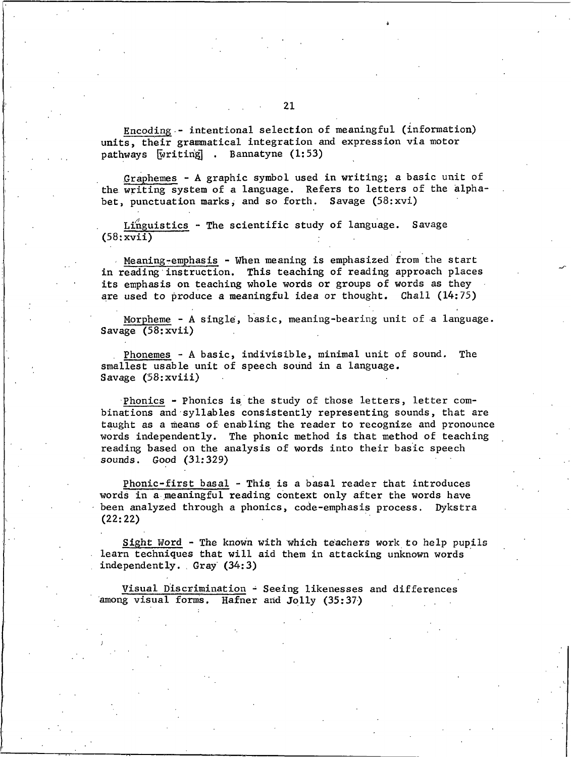Encoding - intentional selection of meaningful (information) units, their grammatical integration and expression via motor pathways writing . Bannatyne (1:53)

Graphemes - A graphic symbol used in writing; a basic unit of the writing system of a language. Refers to letters of the alphabet, punctuation marks, and so forth. Savage (58:xvi)

Linguistics - The scientific study of language. Savage  $(58:xyii)$ 

Meaning-emphasis - When meaning is emphasized from the start in reading instruction. This teaching of reading approach places its emphasis on teaching whole words or groups of words as they are used to produce a meaningful idea or thought. Chall (14:75)

Morpheme - A single, basic, meaning-bearing unit of a language. Savage  $(58;xyii)$ 

Phonemes - A basic, indivisible, minimal unit of sound. The smallest usable unit of speech sound in a language. Savage (58: xviii)

Phonics - Phonics is the study of those letters, letter combinations and syllables consistently representing sounds, that are taught as a means of enabling the reader to recognize and pronounce words independently. The phonic method is that method of teaching reading based on the analysis of words into their basic speech sounds. Good (31:329)

Phonic-first basal - This is a basal reader that introduces words in a meaningful reading context only after the words have been analyzed through a phonics, code-emphasis process. Dykstra  $(22:22)$ 

Sight Word - The known with which teachers work to help pupils learn techniques that will aid them in attacking unknown words independently. Gray (34:3)

Visual Discrimination - Seeing likenesses and differences among visual forms. Hafner and Jolly (35:37)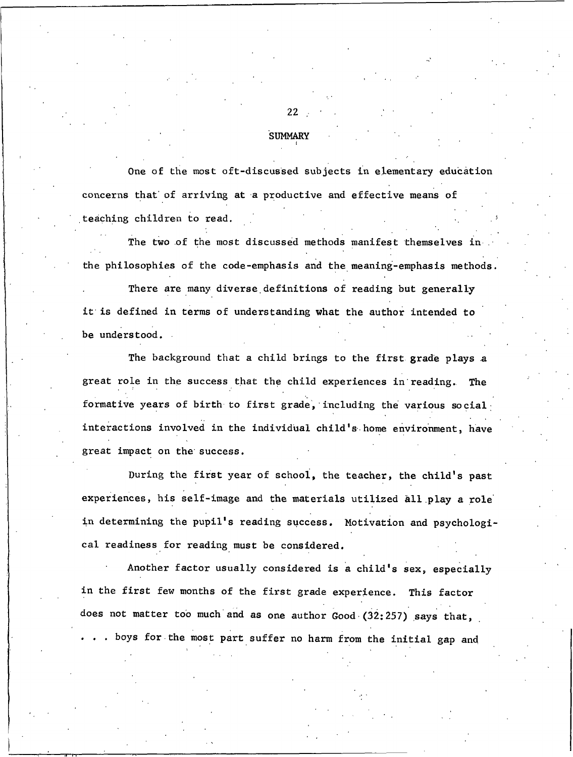#### **SUMMARY**

One of the most oft-discussed subjects in elementary education concerns that of arriving at a productive and effective means of teaching children to read.

The two of the most discussed methods manifest themselves in the philosophies of the code-emphasis and the meaning-emphasis methods.

There are many diverse definitions of reading but generally it is defined in terms of understanding what the author intended to be understood.

The background that a child brings to the first grade plays a great role in the success that the child experiences in reading. The formative years of birth to first grade, including the various social interactions involved in the individual child's home environment, have great impact on the success.

During the first year of school, the teacher, the child's past experiences, his self-image and the materials utilized all play a role in determining the pupil's reading success. Motivation and psychological readiness for reading must be considered.

Another factor usually considered is a child's sex, especially in the first few months of the first grade experience. This factor does not matter too much and as one author Good (32:257) says that, . boys for the most part suffer no harm from the initial gap and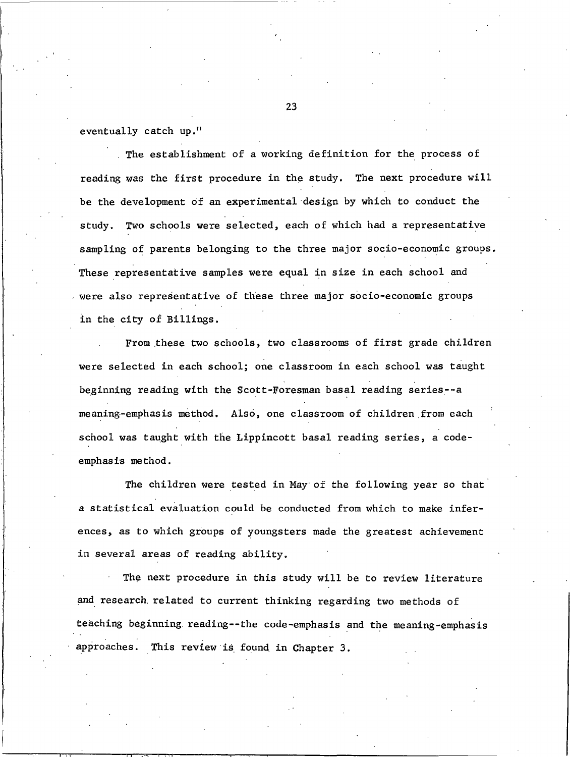eventually catch up."

The establishment of a working definition for the process of reading was the first procedure in the study. The next procedure will be the development of an experimental design by which to conduct the Two schools were selected, each of which had a representative study. sampling of parents belonging to the three major socio-economic groups. These representative samples were equal in size in each school and were also representative of these three major socio-economic groups in the city of Billings.

From these two schools, two classrooms of first grade children were selected in each school; one classroom in each school was taught beginning reading with the Scott-Foresman basal reading series--a meaning-emphasis method. Also, one classroom of children from each school was taught with the Lippincott basal reading series, a codeemphasis method.

The children were tested in May of the following year so that a statistical evaluation could be conducted from which to make inferences, as to which groups of youngsters made the greatest achievement in several areas of reading ability.

The next procedure in this study will be to review literature and research related to current thinking regarding two methods of teaching beginning reading--the code-emphasis and the meaning-emphasis approaches. This review is found in Chapter 3.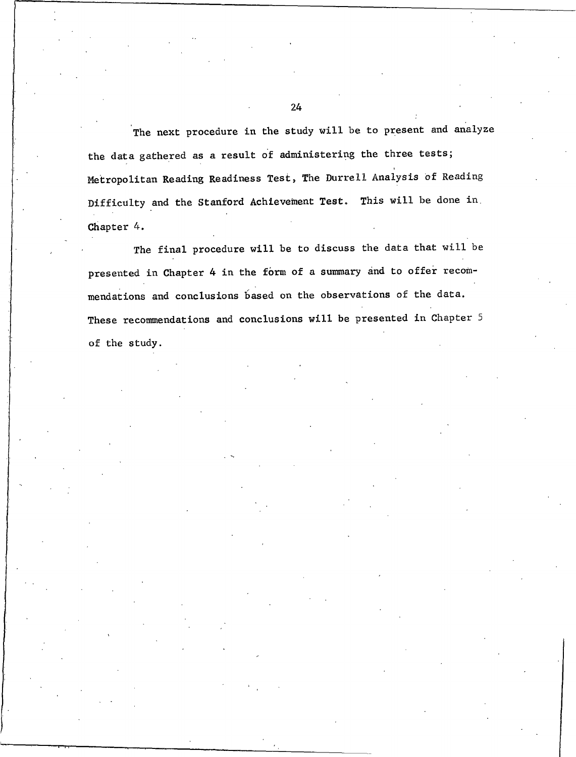The next procedure in the study will be to present and analyze the data gathered as a result of administering the three tests; Metropolitan Reading Readiness Test, The Durrell Analysis of Reading Difficulty and the Stanford Achievement Test. This will be done in Chapter 4.

The final procedure will be to discuss the data that will be presented in Chapter 4 in the form of a summary and to offer recommendations and conclusions based on the observations of the data. These recommendations and conclusions will be presented in Chapter 5 of the study.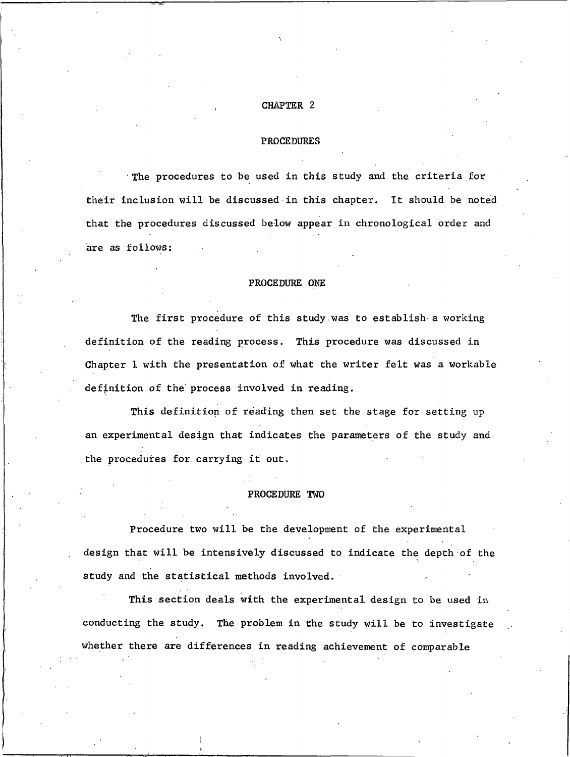### CHAPTER 2

#### **PROCEDURES**

The procedures to be used in this study and the criteria for their inclusion will be discussed in this chapter. It should be noted that the procedures discussed below appear in chronological order and are as follows:

### PROCEDURE ONE

The first procedure of this study was to establish a working definition of the reading process. This procedure was discussed in Chapter 1 with the presentation of what the writer felt was a workable definition of the process involved in reading.

This definition of reading then set the stage for setting up an experimental design that indicates the parameters of the study and the procedures for carrying it out.

#### PROCEDURE TWO

Procedure two will be the development of the experimental design that will be intensively discussed to indicate the depth of the study and the statistical methods involved.

This section deals with the experimental design to be used in conducting the study. The problem in the study will be to investigate whether there are differences in reading achievement of comparable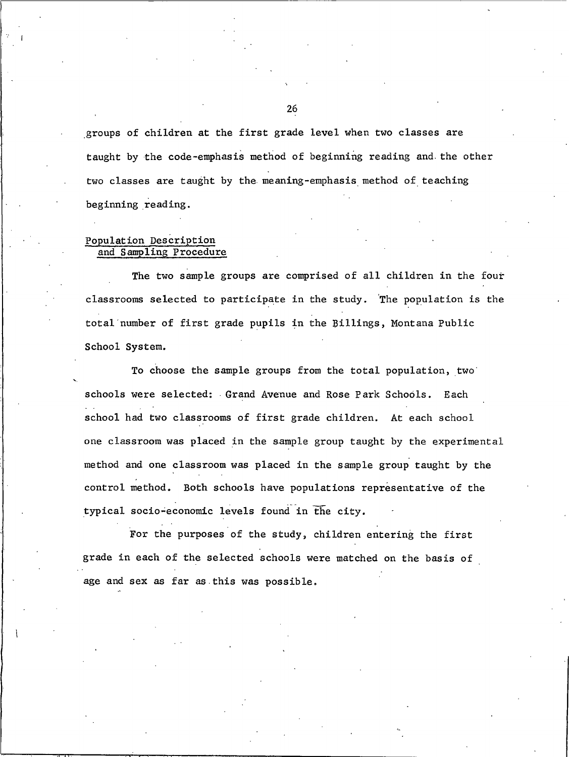groups of children at the first grade level when two classes are taught by the code-emphasis method of beginning reading and the other two classes are taught by the meaning-emphasis method of teaching beginning reading.

## Population Description and Sampling Procedure

The two sample groups are comprised of all children in the four classrooms selected to participate in the study. The population is the total number of first grade pupils in the Billings, Montana Public School System.

To choose the sample groups from the total population, two schools were selected: Grand Avenue and Rose Park Schools. Each school had two classrooms of first grade children. At each school one classroom was placed in the sample group taught by the experimental method and one classroom was placed in the sample group taught by the control method. Both schools have populations representative of the typical socio-economic levels found in the city.

For the purposes of the study, children entering the first grade in each of the selected schools were matched on the basis of age and sex as far as this was possible.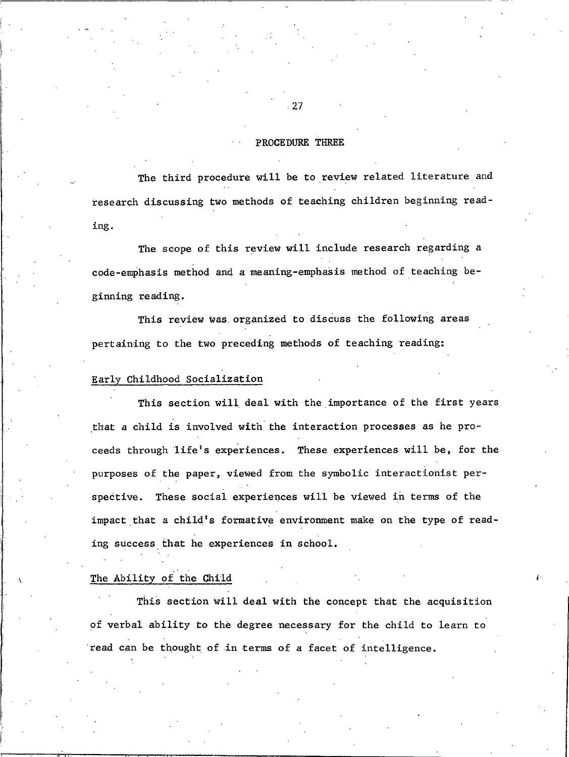## PROCEDURE THREE

The third procedure will be to review related literature and research discussing two methods of teaching children beginning reading.

The scope of this review will include research regarding a code-emphasis method and a meaning-emphasis method of teaching beginning reading.

This review was organized to discuss the following areas pertaining to the two preceding methods of teaching reading:

# Early Childhood Socialization

This section will deal with the importance of the first years that a child is involved with the interaction processes as he proceeds through life's experiences. These experiences will be, for the purposes of the paper, viewed from the symbolic interactionist perspective. These social experiences will be viewed in terms of the impact that a child's formative environment make on the type of reading success that he experiences in school.

## The Ability of the Child

This section will deal with the concept that the acquisition of verbal ability to the degree necessary for the child to learn to read can be thought of in terms of a facet of intelligence.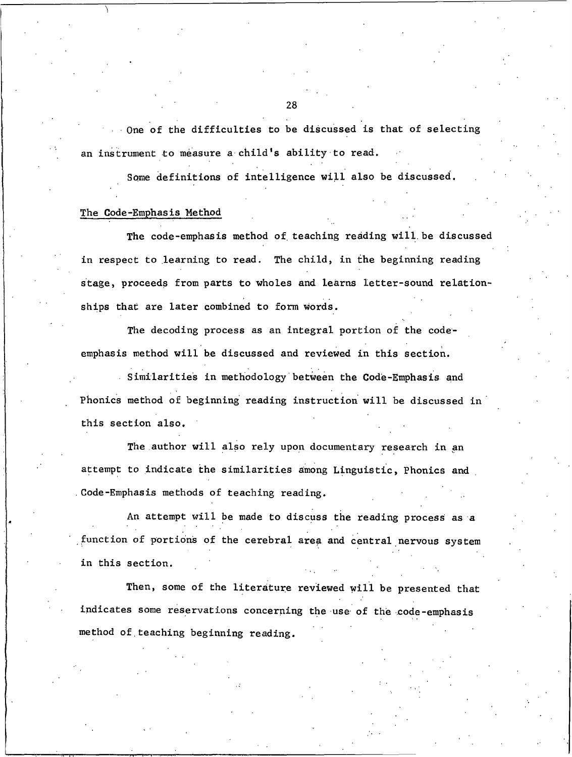One of the difficulties to be discussed is that of selecting an instrument to measure a child's ability to read.

Some definitions of intelligence will also be discussed.

### The Code-Emphasis Method

The code-emphasis method of teaching reading will be discussed in respect to learning to read. The child, in the beginning reading stage, proceeds from parts to wholes and learns letter-sound relationships that are later combined to form words.

The decoding process as an integral portion of the codeemphasis method will be discussed and reviewed in this section.

Similarities in methodology between the Code-Emphasis and Phonics method of beginning reading instruction will be discussed in this section also.

The author will also rely upon documentary research in an attempt to indicate the similarities among Linguistic, Phonics and Code-Emphasis methods of teaching reading.

An attempt will be made to discuss the reading process as a function of portions of the cerebral area and central nervous system in this section.

Then, some of the literature reviewed will be presented that indicates some reservations concerning the use of the code-emphasis method of teaching beginning reading.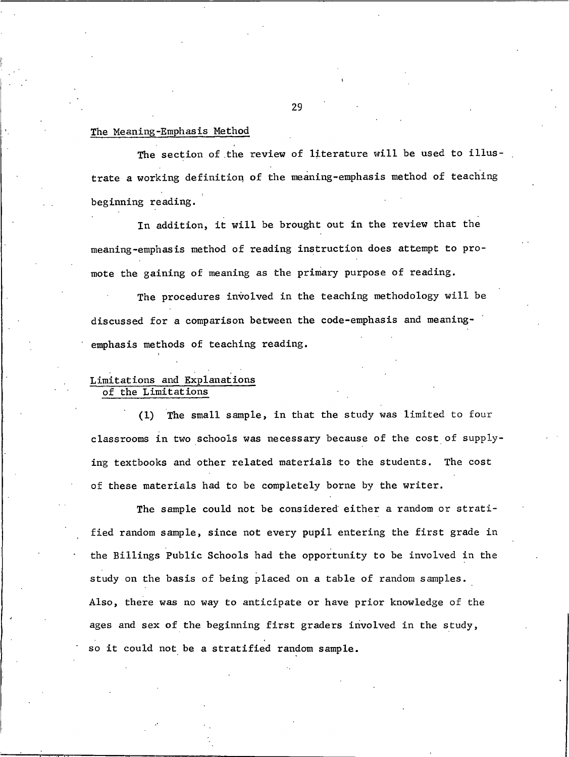## The Meaning-Emphasis Method

The section of the review of literature will be used to illustrate a working definition of the meaning-emphasis method of teaching beginning reading.

In addition, it will be brought out in the review that the meaning-emphasis method of reading instruction does attempt to promote the gaining of meaning as the primary purpose of reading.

The procedures involved in the teaching methodology will be discussed for a comparison between the code-emphasis and meaningemphasis methods of teaching reading.

# Limitations and Explanations of the Limitations

(1) The small sample, in that the study was limited to four classrooms in two schools was necessary because of the cost of supplying textbooks and other related materials to the students. The cost of these materials had to be completely borne by the writer.

The sample could not be considered either a random or stratified random sample, since not every pupil entering the first grade in the Billings Public Schools had the opportunity to be involved in the study on the basis of being placed on a table of random samples. Also, there was no way to anticipate or have prior knowledge of the ages and sex of the beginning first graders involved in the study, so it could not be a stratified random sample.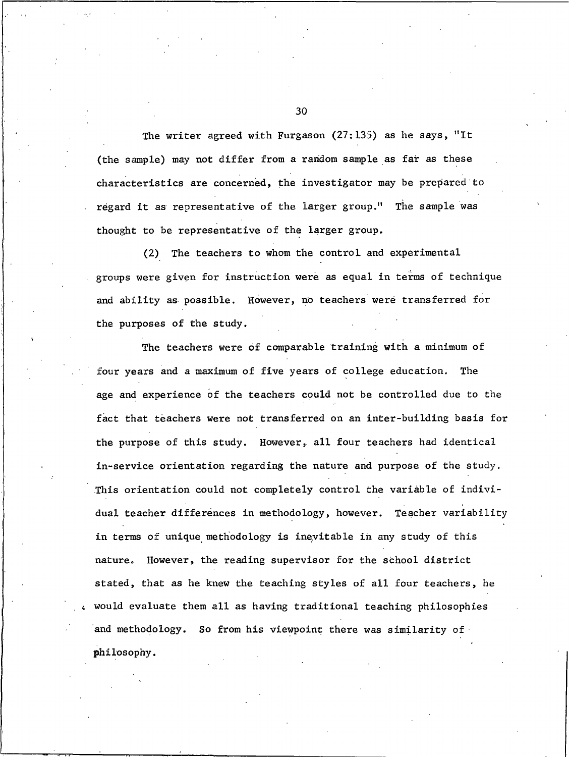The writer agreed with Furgason  $(27:135)$  as he says, "It (the sample) may not differ from a random sample as far as these characteristics are concerned, the investigator may be prepared to regard it as representative of the larger group." The sample was thought to be representative of the larger group.

(2) The teachers to whom the control and experimental groups were given for instruction were as equal in terms of technique and ability as possible. However, no teachers were transferred for the purposes of the study.

The teachers were of comparable training with a minimum of four years and a maximum of five years of college education. The age and experience of the teachers could not be controlled due to the fact that teachers were not transferred on an inter-building basis for the purpose of this study. However, all four teachers had identical in-service orientation regarding the nature and purpose of the study. This orientation could not completely control the variable of individual teacher differences in methodology, however. Teacher variability in terms of unique methodology is inevitable in any study of this nature. However, the reading supervisor for the school district stated, that as he knew the teaching styles of all four teachers, he would evaluate them all as having traditional teaching philosophies and methodology. So from his viewpoint there was similarity of philosophy.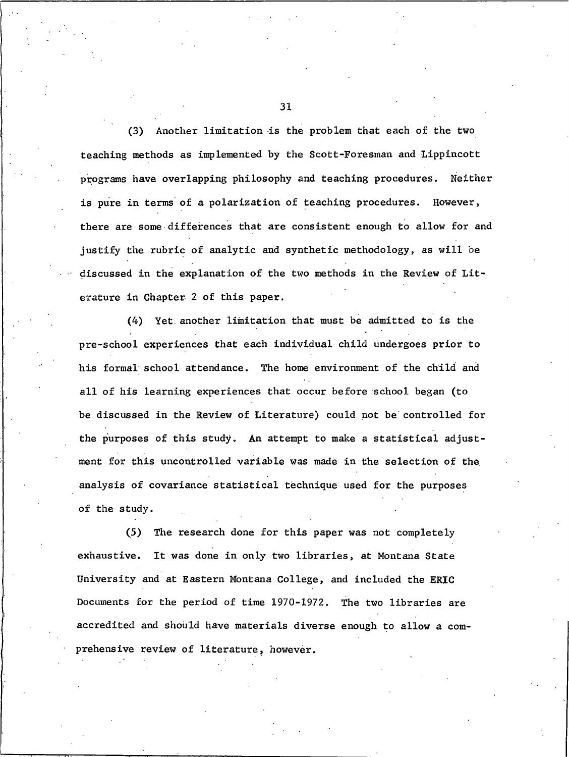Another limitation is the problem that each of the two  $(3)$ teaching methods as implemented by the Scott-Foresman and Lippincott programs have overlapping philosophy and teaching procedures. Neither is pure in terms of a polarization of teaching procedures. However, there are some differences that are consistent enough to allow for and justify the rubric of analytic and synthetic methodology, as will be discussed in the explanation of the two methods in the Review of Literature in Chapter 2 of this paper.

(4) Yet another limitation that must be admitted to is the pre-school experiences that each individual child undergoes prior to his formal school attendance. The home environment of the child and all of his learning experiences that occur before school began (to be discussed in the Review of Literature) could not be controlled for the purposes of this study. An attempt to make a statistical adjustment for this uncontrolled variable was made in the selection of the analysis of covariance statistical technique used for the purposes of the study.

The research done for this paper was not completely  $(5)$ exhaustive. It was done in only two libraries, at Montana State University and at Eastern Montana College, and included the ERIC Documents for the period of time 1970-1972. The two libraries are accredited and should have materials diverse enough to allow a comprehensive review of literature, however.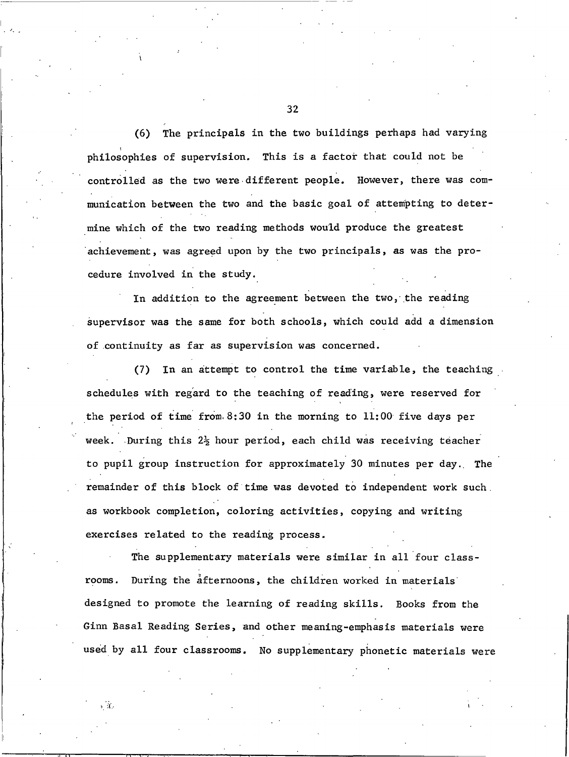The principals in the two buildings perhaps had varying  $(6)$ philosophies of supervision. This is a factor that could not be controlled as the two were different people. However, there was communication between the two and the basic goal of attempting to determine which of the two reading methods would produce the greatest achievement, was agreed upon by the two principals, as was the procedure involved in the study.

In addition to the agreement between the two, the reading supervisor was the same for both schools, which could add a dimension of continuity as far as supervision was concerned.

(7) In an attempt to control the time variable, the teaching schedules with regard to the teaching of reading, were reserved for the period of time from 8:30 in the morning to  $11:00$  five days per week. During this 2<sup>1</sup>/<sub>2</sub> hour period, each child was receiving teacher to pupil group instruction for approximately 30 minutes per day. The remainder of this block of time was devoted to independent work such. as workbook completion, coloring activities, copying and writing exercises related to the reading process.

The supplementary materials were similar in all four classrooms. During the afternoons, the children worked in materials designed to promote the learning of reading skills. Books from the Ginn Basal Reading Series, and other meaning-emphasis materials were used by all four classrooms. No supplementary phonetic materials were

ьÄ,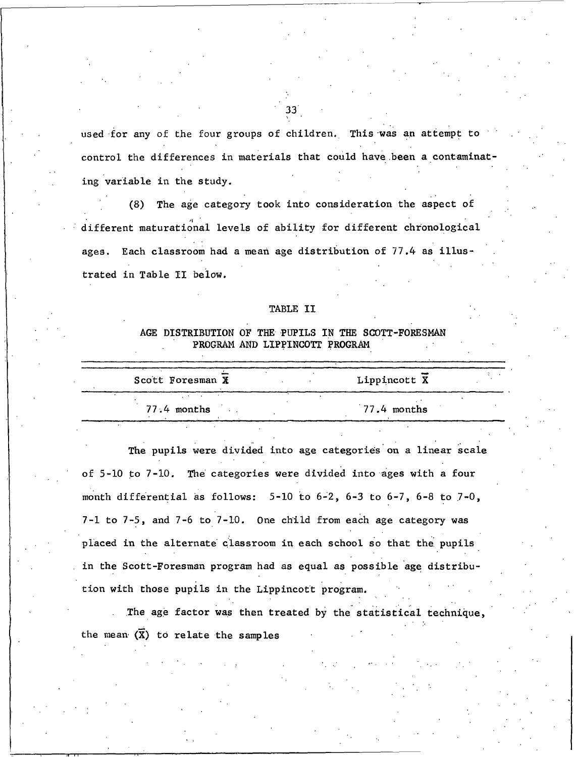used for any of the four groups of children. This was an attempt to control the differences in materials that could have been a contaminating variable in the study.

(8) The age category took into consideration the aspect of different maturational levels of ability for different chronological ages. Each classroom had a mean age distribution of 77.4 as illustrated in Table II below.

### TABLE II

# AGE DISTRIBUTION OF THE PUPILS IN THE SCOTT-FORESMAN PROGRAM AND LIPPINCOTT PROGRAM

| Scott Foresman X |  | Lippincott X  |  |
|------------------|--|---------------|--|
| 77.4 months      |  | $77.4$ months |  |

The pupils were divided into age categories on a linear scale of 5-10 to 7-10. The categories were divided into ages with a four month differential as follows:  $5-10$  to  $6-2$ ,  $6-3$  to  $6-7$ ,  $6-8$  to  $7-0$ , 7-1 to 7-5, and 7-6 to 7-10. One child from each age category was placed in the alternate classroom in each school so that the pupils in the Scott-Foresman program had as equal as possible age distribution with those pupils in the Lippincott program.

The age factor was then treated by the statistical technique, the mean  $(\overline{X})$  to relate the samples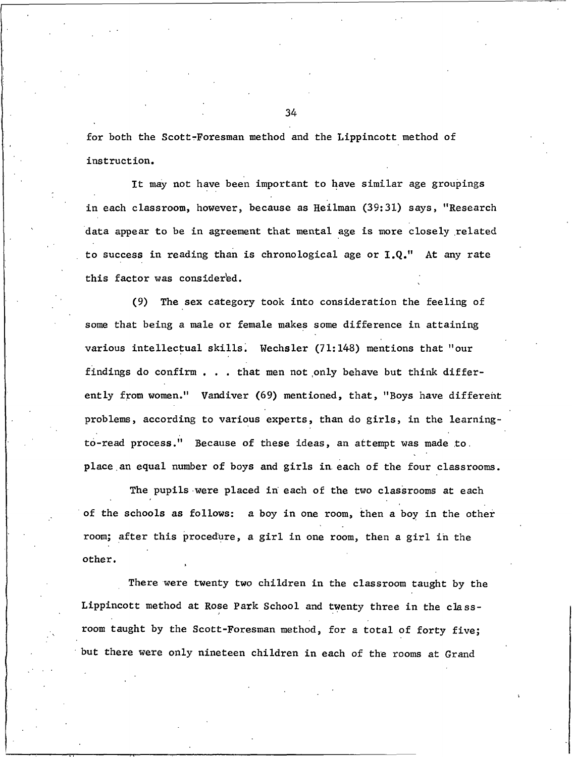for both the Scott-Foresman method and the Lippincott method of instruction.

It may not have been important to have similar age groupings in each classroom, however, because as Heilman (39:31) says, "Research data appear to be in agreement that mental age is more closely related to success in reading than is chronological age or I.Q." At any rate this factor was considered.

(9) The sex category took into consideration the feeling of some that being a male or female makes some difference in attaining various intellectual skills. Wechsler (71:148) mentions that "our findings do confirm . . . that men not only behave but think differently from women." Vandiver (69) mentioned, that, "Boys have different problems, according to various experts, than do girls, in the learningto-read process." Because of these ideas, an attempt was made to. place an equal number of boys and girls in each of the four classrooms.

The pupils were placed in each of the two classrooms at each of the schools as follows: a boy in one room, then a boy in the other room; after this procedure, a girl in one room, then a girl in the other.

There were twenty two children in the classroom taught by the Lippincott method at Rose Park School and twenty three in the classroom taught by the Scott-Foresman method, for a total of forty five; but there were only nineteen children in each of the rooms at Grand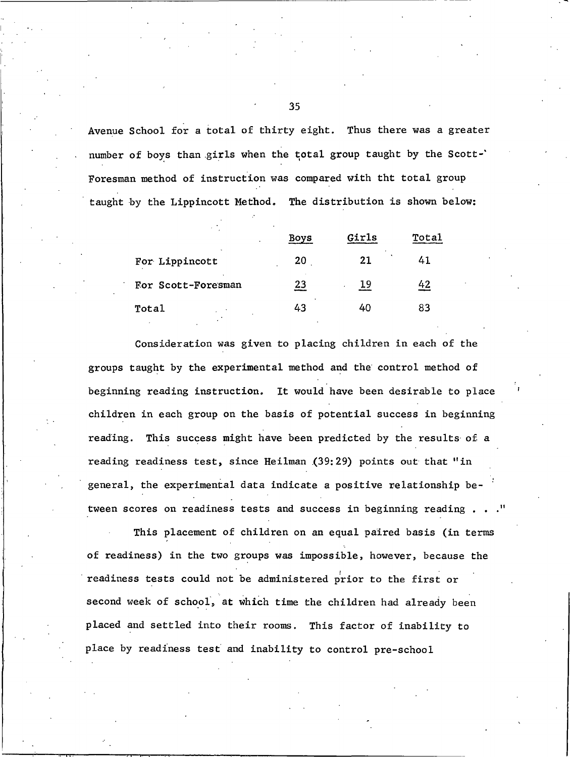Avenue School for a total of thirty eight. Thus there was a greater number of boys than girls when the total group taught by the Scott-' Foresman method of instruction was compared with tht total group taught by the Lippincott Method. The distribution is shown below:

|                    | Boys | Girls | Total |
|--------------------|------|-------|-------|
| For Lippincott     | 20   | 21    | 41    |
| For Scott-Foresman | 23   | 19    | 42    |
| Total              | 43   | 40    | 83    |

Consideration was given to placing children in each of the groups taught by the experimental method and the control method of beginning reading instruction. It would have been desirable to place children in each group on the basis of potential success in beginning reading. This success might have been predicted by the results of a reading readiness test, since Heilman (39:29) points out that "in general, the experimental data indicate a positive relationship between scores on readiness tests and success in beginning reading.

This placement of children on an equal paired basis (in terms of readiness) in the two groups was impossible, however, because the readiness tests could not be administered prior to the first or second week of school, at which time the children had already been placed and settled into their rooms. This factor of inability to place by readiness test and inability to control pre-school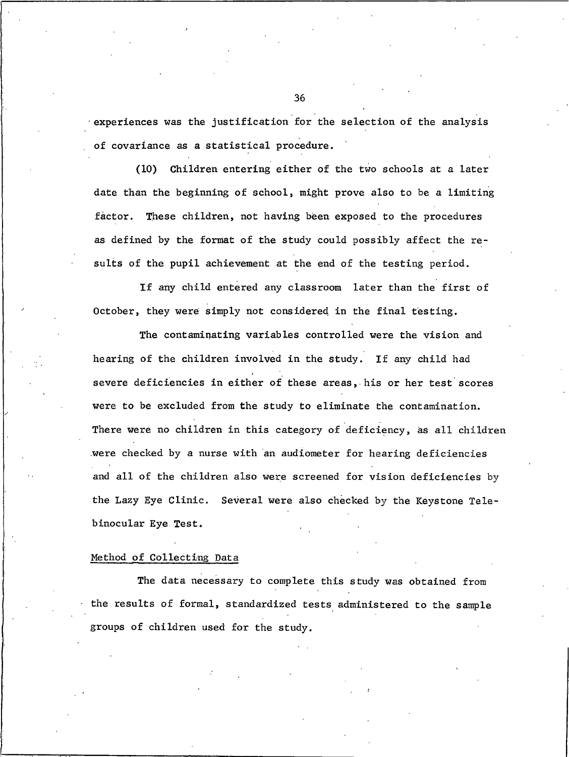experiences was the justification for the selection of the analysis of covariance as a statistical procedure.

Children entering either of the two schools at a later  $(10)$ date than the beginning of school, might prove also to be a limiting factor. These children, not having been exposed to the procedures as defined by the format of the study could possibly affect the results of the pupil achievement at the end of the testing period.

If any child entered any classroom later than the first of October, they were simply not considered in the final testing.

The contaminating variables controlled were the vision and hearing of the children involved in the study. If any child had severe deficiencies in either of these areas, his or her test scores were to be excluded from the study to eliminate the contamination. There were no children in this category of deficiency, as all children were checked by a nurse with an audiometer for hearing deficiencies and all of the children also were screened for vision deficiencies by the Lazy Eye Clinic. Several were also checked by the Keystone Telebinocular Eye Test.

## Method of Collecting Data

The data necessary to complete this study was obtained from the results of formal, standardized tests administered to the sample groups of children used for the study.